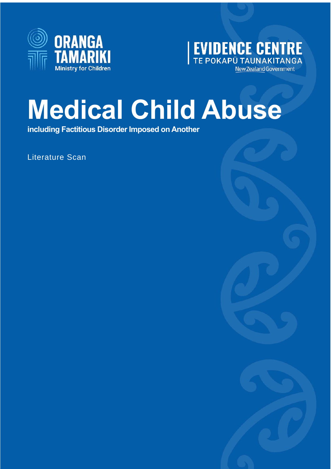



## **Medical Child Abuse**

**including Factitious Disorder Imposed on Another**

Literature Scan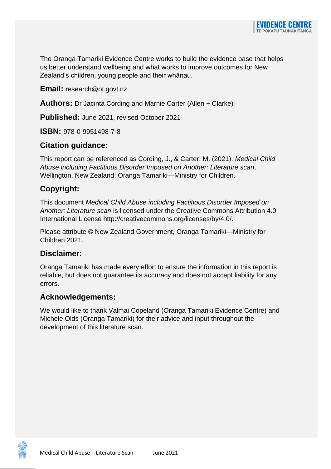The Oranga Tamariki Evidence Centre works to build the evidence base that helps us better understand wellbeing and what works to improve outcomes for New Zealand's children, young people and their whānau.

**Email:** research@ot.govt.nz

**Authors:** Dr Jacinta Cording and Marnie Carter (Allen + Clarke)

**Published:** June 2021, revised October 2021

**ISBN:** 978-0-9951498-7-8

#### **Citation guidance:**

This report can be referenced as Cording, J., & Carter, M. (2021). *Medical Child Abuse including Factitious Disorder Imposed on Another: Literature scan*. Wellington, New Zealand: Oranga Tamariki—Ministry for Children.

#### **Copyright:**

This document *Medical Child Abuse including Factitious Disorder Imposed on Another: Literature scan* is licensed under the Creative Commons Attribution 4.0 International License http://creativecommons.org/licenses/by/4.0/.

Please attribute © New Zealand Government, Oranga Tamariki—Ministry for Children 2021.

#### **Disclaimer:**

可匠

Oranga Tamariki has made every effort to ensure the information in this report is reliable, but does not guarantee its accuracy and does not accept liability for any errors.

#### **Acknowledgements:**

We would like to thank Valmai Copeland (Oranga Tamariki Evidence Centre) and Michele Olds (Oranga Tamariki) for their advice and input throughout the development of this literature scan.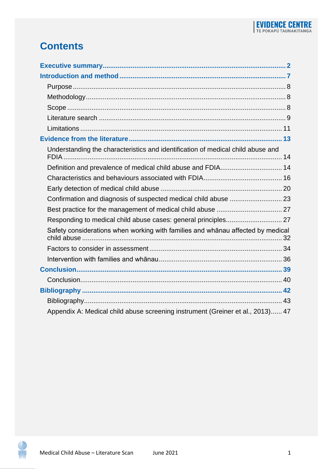## **Contents**

| Understanding the characteristics and identification of medical child abuse and |  |
|---------------------------------------------------------------------------------|--|
|                                                                                 |  |
|                                                                                 |  |
|                                                                                 |  |
| Confirmation and diagnosis of suspected medical child abuse  23                 |  |
|                                                                                 |  |
|                                                                                 |  |
| Safety considerations when working with families and whānau affected by medical |  |
|                                                                                 |  |
|                                                                                 |  |
|                                                                                 |  |
|                                                                                 |  |
|                                                                                 |  |
|                                                                                 |  |
| Appendix A: Medical child abuse screening instrument (Greiner et al., 2013) 47  |  |

0 斋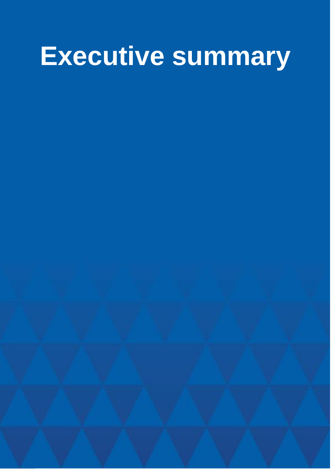## <span id="page-3-0"></span>**Executive summary**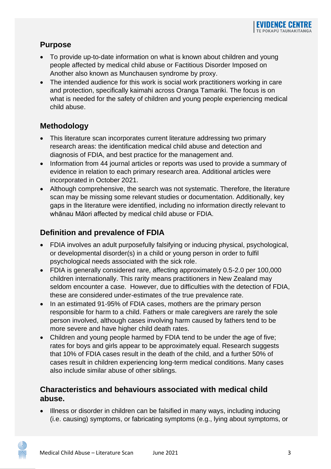#### **Purpose**

- To provide up-to-date information on what is known about children and young people affected by medical child abuse or Factitious Disorder Imposed on Another also known as Munchausen syndrome by proxy.
- The intended audience for this work is social work practitioners working in care and protection, specifically kaimahi across Oranga Tamariki. The focus is on what is needed for the safety of children and young people experiencing medical child abuse.

#### **Methodology**

- This literature scan incorporates current literature addressing two primary research areas: the identification medical child abuse and detection and diagnosis of FDIA, and best practice for the management and.
- Information from 44 journal articles or reports was used to provide a summary of evidence in relation to each primary research area. Additional articles were incorporated in October 2021.
- Although comprehensive, the search was not systematic. Therefore, the literature scan may be missing some relevant studies or documentation. Additionally, key gaps in the literature were identified, including no information directly relevant to whānau Māori affected by medical child abuse or FDIA.

#### **Definition and prevalence of FDIA**

- FDIA involves an adult purposefully falsifying or inducing physical, psychological, or developmental disorder(s) in a child or young person in order to fulfil psychological needs associated with the sick role.
- FDIA is generally considered rare, affecting approximately 0.5-2.0 per 100,000 children internationally. This rarity means practitioners in New Zealand may seldom encounter a case. However, due to difficulties with the detection of FDIA, these are considered under-estimates of the true prevalence rate.
- In an estimated 91-95% of FDIA cases, mothers are the primary person responsible for harm to a child. Fathers or male caregivers are rarely the sole person involved, although cases involving harm caused by fathers tend to be more severe and have higher child death rates.
- Children and young people harmed by FDIA tend to be under the age of five; rates for boys and girls appear to be approximately equal. Research suggests that 10% of FDIA cases result in the death of the child, and a further 50% of cases result in children experiencing long-term medical conditions. Many cases also include similar abuse of other siblings.

#### **Characteristics and behaviours associated with medical child abuse.**

• Illness or disorder in children can be falsified in many ways, including inducing (i.e. causing) symptoms, or fabricating symptoms (e.g., lying about symptoms, or

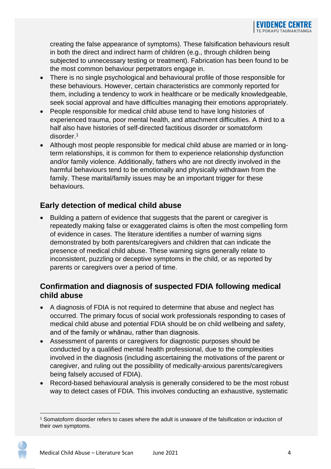creating the false appearance of symptoms). These falsification behaviours result in both the direct and indirect harm of children (e.g., through children being subjected to unnecessary testing or treatment). Fabrication has been found to be the most common behaviour perpetrators engage in.

- There is no single psychological and behavioural profile of those responsible for these behaviours. However, certain characteristics are commonly reported for them, including a tendency to work in healthcare or be medically knowledgeable, seek social approval and have difficulties managing their emotions appropriately.
- People responsible for medical child abuse tend to have long histories of experienced trauma, poor mental health, and attachment difficulties. A third to a half also have histories of self-directed factitious disorder or somatoform disorder.<sup>1</sup>
- Although most people responsible for medical child abuse are married or in longterm relationships, it is common for them to experience relationship dysfunction and/or family violence. Additionally, fathers who are not directly involved in the harmful behaviours tend to be emotionally and physically withdrawn from the family. These marital/family issues may be an important trigger for these behaviours.

#### **Early detection of medical child abuse**

• Building a pattern of evidence that suggests that the parent or caregiver is repeatedly making false or exaggerated claims is often the most compelling form of evidence in cases. The literature identifies a number of warning signs demonstrated by both parents/caregivers and children that can indicate the presence of medical child abuse. These warning signs generally relate to inconsistent, puzzling or deceptive symptoms in the child, or as reported by parents or caregivers over a period of time.

#### **Confirmation and diagnosis of suspected FDIA following medical child abuse**

- A diagnosis of FDIA is not required to determine that abuse and neglect has occurred. The primary focus of social work professionals responding to cases of medical child abuse and potential FDIA should be on child wellbeing and safety, and of the family or whānau, rather than diagnosis.
- Assessment of parents or caregivers for diagnostic purposes should be conducted by a qualified mental health professional, due to the complexities involved in the diagnosis (including ascertaining the motivations of the parent or caregiver, and ruling out the possibility of medically-anxious parents/caregivers being falsely accused of FDIA).
- Record-based behavioural analysis is generally considered to be the most robust way to detect cases of FDIA. This involves conducting an exhaustive, systematic



<sup>1</sup> Somatoform disorder refers to cases where the adult is unaware of the falsification or induction of their own symptoms.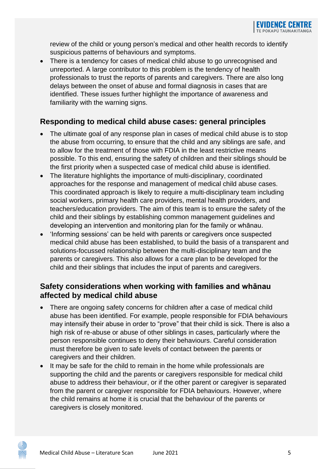review of the child or young person's medical and other health records to identify suspicious patterns of behaviours and symptoms.

• There is a tendency for cases of medical child abuse to go unrecognised and unreported. A large contributor to this problem is the tendency of health professionals to trust the reports of parents and caregivers. There are also long delays between the onset of abuse and formal diagnosis in cases that are identified. These issues further highlight the importance of awareness and familiarity with the warning signs.

#### **Responding to medical child abuse cases: general principles**

- The ultimate goal of any response plan in cases of medical child abuse is to stop the abuse from occurring, to ensure that the child and any siblings are safe, and to allow for the treatment of those with FDIA in the least restrictive means possible. To this end, ensuring the safety of children and their siblings should be the first priority when a suspected case of medical child abuse is identified.
- The literature highlights the importance of multi-disciplinary, coordinated approaches for the response and management of medical child abuse cases. This coordinated approach is likely to require a multi-disciplinary team including social workers, primary health care providers, mental health providers, and teachers/education providers. The aim of this team is to ensure the safety of the child and their siblings by establishing common management guidelines and developing an intervention and monitoring plan for the family or whānau.
- 'Informing sessions' can be held with parents or caregivers once suspected medical child abuse has been established, to build the basis of a transparent and solutions-focussed relationship between the multi-disciplinary team and the parents or caregivers. This also allows for a care plan to be developed for the child and their siblings that includes the input of parents and caregivers.

#### **Safety considerations when working with families and whānau affected by medical child abuse**

- There are ongoing safety concerns for children after a case of medical child abuse has been identified. For example, people responsible for FDIA behaviours may intensify their abuse in order to "prove" that their child is sick. There is also a high risk of re-abuse or abuse of other siblings in cases, particularly where the person responsible continues to deny their behaviours. Careful consideration must therefore be given to safe levels of contact between the parents or caregivers and their children.
- It may be safe for the child to remain in the home while professionals are supporting the child and the parents or caregivers responsible for medical child abuse to address their behaviour, or if the other parent or caregiver is separated from the parent or caregiver responsible for FDIA behaviours. However, where the child remains at home it is crucial that the behaviour of the parents or caregivers is closely monitored.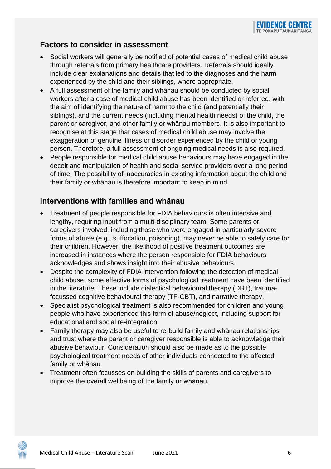#### **Factors to consider in assessment**

- Social workers will generally be notified of potential cases of medical child abuse through referrals from primary healthcare providers. Referrals should ideally include clear explanations and details that led to the diagnoses and the harm experienced by the child and their siblings, where appropriate.
- A full assessment of the family and whānau should be conducted by social workers after a case of medical child abuse has been identified or referred, with the aim of identifying the nature of harm to the child (and potentially their siblings), and the current needs (including mental health needs) of the child, the parent or caregiver, and other family or whānau members. It is also important to recognise at this stage that cases of medical child abuse may involve the exaggeration of genuine illness or disorder experienced by the child or young person. Therefore, a full assessment of ongoing medical needs is also required.
- People responsible for medical child abuse behaviours may have engaged in the deceit and manipulation of health and social service providers over a long period of time. The possibility of inaccuracies in existing information about the child and their family or whānau is therefore important to keep in mind.

#### **Interventions with families and whānau**

- Treatment of people responsible for FDIA behaviours is often intensive and lengthy, requiring input from a multi-disciplinary team. Some parents or caregivers involved, including those who were engaged in particularly severe forms of abuse (e.g., suffocation, poisoning), may never be able to safely care for their children. However, the likelihood of positive treatment outcomes are increased in instances where the person responsible for FDIA behaviours acknowledges and shows insight into their abusive behaviours.
- Despite the complexity of FDIA intervention following the detection of medical child abuse, some effective forms of psychological treatment have been identified in the literature. These include dialectical behavioural therapy (DBT), traumafocussed cognitive behavioural therapy (TF-CBT), and narrative therapy.
- Specialist psychological treatment is also recommended for children and young people who have experienced this form of abuse/neglect, including support for educational and social re-integration.
- Family therapy may also be useful to re-build family and whānau relationships and trust where the parent or caregiver responsible is able to acknowledge their abusive behaviour. Consideration should also be made as to the possible psychological treatment needs of other individuals connected to the affected family or whānau.
- Treatment often focusses on building the skills of parents and caregivers to improve the overall wellbeing of the family or whānau.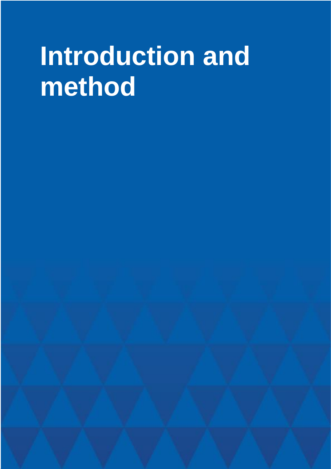## <span id="page-8-0"></span>**Introduction and method**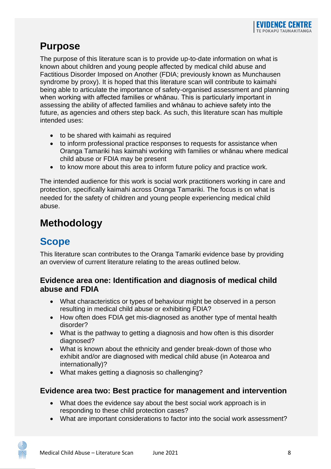## <span id="page-9-0"></span>**Purpose**

The purpose of this literature scan is to provide up-to-date information on what is known about children and young people affected by medical child abuse and Factitious Disorder Imposed on Another (FDIA; previously known as Munchausen syndrome by proxy). It is hoped that this literature scan will contribute to kaimahi being able to articulate the importance of safety-organised assessment and planning when working with affected families or whānau. This is particularly important in assessing the ability of affected families and whānau to achieve safety into the future, as agencies and others step back. As such, this literature scan has multiple intended uses:

- to be shared with kaimahi as required
- to inform professional practice responses to requests for assistance when Oranga Tamariki has kaimahi working with families or whānau where medical child abuse or FDIA may be present
- to know more about this area to inform future policy and practice work.

The intended audience for this work is social work practitioners working in care and protection, specifically kaimahi across Oranga Tamariki. The focus is on what is needed for the safety of children and young people experiencing medical child abuse.

## <span id="page-9-1"></span>**Methodology**

## <span id="page-9-2"></span>**Scope**

This literature scan contributes to the Oranga Tamariki evidence base by providing an overview of current literature relating to the areas outlined below.

#### **Evidence area one: Identification and diagnosis of medical child abuse and FDIA**

- What characteristics or types of behaviour might be observed in a person resulting in medical child abuse or exhibiting FDIA?
- How often does FDIA get mis-diagnosed as another type of mental health disorder?
- What is the pathway to getting a diagnosis and how often is this disorder diagnosed?
- What is known about the ethnicity and gender break-down of those who exhibit and/or are diagnosed with medical child abuse (in Aotearoa and internationally)?
- What makes getting a diagnosis so challenging?

#### **Evidence area two: Best practice for management and intervention**

- What does the evidence say about the best social work approach is in responding to these child protection cases?
- What are important considerations to factor into the social work assessment?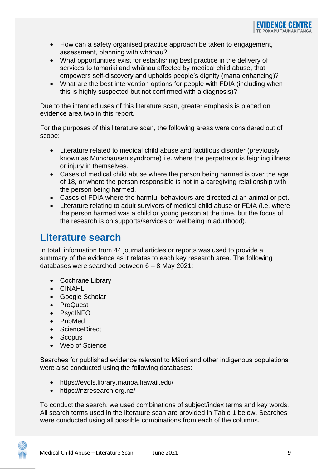- How can a safety organised practice approach be taken to engagement, assessment, planning with whānau?
- What opportunities exist for establishing best practice in the delivery of services to tamariki and whānau affected by medical child abuse, that empowers self-discovery and upholds people's dignity (mana enhancing)?
- What are the best intervention options for people with FDIA (including when this is highly suspected but not confirmed with a diagnosis)?

Due to the intended uses of this literature scan, greater emphasis is placed on evidence area two in this report.

For the purposes of this literature scan, the following areas were considered out of scope:

- Literature related to medical child abuse and factitious disorder (previously known as Munchausen syndrome) i.e. where the perpetrator is feigning illness or injury in themselves.
- Cases of medical child abuse where the person being harmed is over the age of 18, or where the person responsible is not in a caregiving relationship with the person being harmed.
- Cases of FDIA where the harmful behaviours are directed at an animal or pet.
- Literature relating to adult survivors of medical child abuse or FDIA (i.e. where the person harmed was a child or young person at the time, but the focus of the research is on supports/services or wellbeing in adulthood).

## <span id="page-10-0"></span>**Literature search**

In total, information from 44 journal articles or reports was used to provide a summary of the evidence as it relates to each key research area. The following databases were searched between 6 – 8 May 2021:

- Cochrane Library
- CINAHL
- Google Scholar
- ProQuest
- PsycINFO
- PubMed
- ScienceDirect
- Scopus
- Web of Science

Searches for published evidence relevant to Māori and other indigenous populations were also conducted using the following databases:

- https://evols.library.manoa.hawaii.edu/
- https://nzresearch.org.nz/

To conduct the search, we used combinations of subject/index terms and key words. All search terms used in the literature scan are provided in Table 1 below. Searches were conducted using all possible combinations from each of the columns.

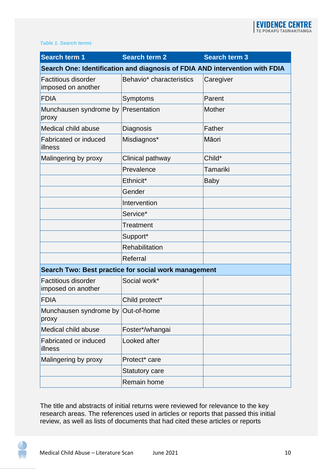#### *Table 1. Search terms*

| <b>Search term 1</b>                                                        | Search term 2            | <b>Search term 3</b> |  |
|-----------------------------------------------------------------------------|--------------------------|----------------------|--|
| Search One: Identification and diagnosis of FDIA AND intervention with FDIA |                          |                      |  |
| <b>Factitious disorder</b><br>imposed on another                            | Behavio* characteristics | Caregiver            |  |
| <b>FDIA</b>                                                                 | Symptoms                 | Parent               |  |
| Munchausen syndrome by Presentation<br>proxy                                |                          | <b>Mother</b>        |  |
| Medical child abuse                                                         | Diagnosis                | Father               |  |
| <b>Fabricated or induced</b><br>illness                                     | Misdiagnos*              | Māori                |  |
| Malingering by proxy                                                        | Clinical pathway         | Child*               |  |
|                                                                             | Prevalence               | Tamariki             |  |
|                                                                             | Ethnicit*                | <b>Baby</b>          |  |
|                                                                             | Gender                   |                      |  |
|                                                                             | Intervention             |                      |  |
|                                                                             | Service*                 |                      |  |
|                                                                             | Treatment                |                      |  |
|                                                                             | Support*                 |                      |  |
|                                                                             | Rehabilitation           |                      |  |
|                                                                             | Referral                 |                      |  |
| Search Two: Best practice for social work management                        |                          |                      |  |
| <b>Factitious disorder</b><br>imposed on another                            | Social work*             |                      |  |
| <b>FDIA</b>                                                                 | Child protect*           |                      |  |
| Munchausen syndrome by<br>proxy                                             | Out-of-home              |                      |  |
| Medical child abuse                                                         | Foster*/whangai          |                      |  |
| Fabricated or induced<br>illness                                            | Looked after             |                      |  |
| Malingering by proxy                                                        | Protect* care            |                      |  |
|                                                                             | <b>Statutory care</b>    |                      |  |
|                                                                             | Remain home              |                      |  |

The title and abstracts of initial returns were reviewed for relevance to the key research areas. The references used in articles or reports that passed this initial review, as well as lists of documents that had cited these articles or reports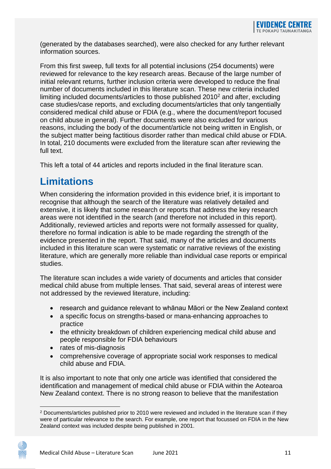(generated by the databases searched), were also checked for any further relevant information sources.

From this first sweep, full texts for all potential inclusions (254 documents) were reviewed for relevance to the key research areas. Because of the large number of initial relevant returns, further inclusion criteria were developed to reduce the final number of documents included in this literature scan. These new criteria included limiting included documents/articles to those published 2010<sup>2</sup> and after, excluding case studies/case reports, and excluding documents/articles that only tangentially considered medical child abuse or FDIA (e.g., where the document/report focused on child abuse in general). Further documents were also excluded for various reasons, including the body of the document/article not being written in English, or the subject matter being factitious disorder rather than medical child abuse or FDIA. In total, 210 documents were excluded from the literature scan after reviewing the  $full$  text.

This left a total of 44 articles and reports included in the final literature scan.

## <span id="page-12-0"></span>**Limitations**

When considering the information provided in this evidence brief, it is important to recognise that although the search of the literature was relatively detailed and extensive, it is likely that some research or reports that address the key research areas were not identified in the search (and therefore not included in this report). Additionally, reviewed articles and reports were not formally assessed for quality, therefore no formal indication is able to be made regarding the strength of the evidence presented in the report. That said, many of the articles and documents included in this literature scan were systematic or narrative reviews of the existing literature, which are generally more reliable than individual case reports or empirical studies.

The literature scan includes a wide variety of documents and articles that consider medical child abuse from multiple lenses. That said, several areas of interest were not addressed by the reviewed literature, including:

- research and guidance relevant to whānau Māori or the New Zealand context
- a specific focus on strengths-based or mana-enhancing approaches to practice
- the ethnicity breakdown of children experiencing medical child abuse and people responsible for FDIA behaviours
- rates of mis-diagnosis
- comprehensive coverage of appropriate social work responses to medical child abuse and FDIA.

It is also important to note that only one article was identified that considered the identification and management of medical child abuse or FDIA within the Aotearoa New Zealand context. There is no strong reason to believe that the manifestation

<sup>2</sup> Documents/articles published prior to 2010 were reviewed and included in the literature scan if they were of particular relevance to the search. For example, one report that focussed on FDIA in the New Zealand context was included despite being published in 2001.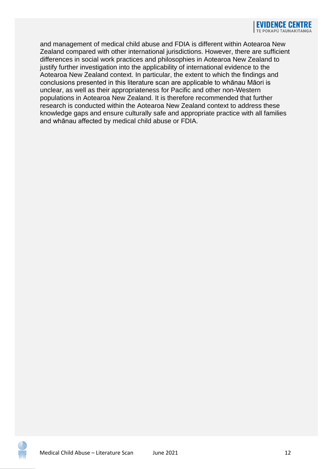and management of medical child abuse and FDIA is different within Aotearoa New Zealand compared with other international jurisdictions. However, there are sufficient differences in social work practices and philosophies in Aotearoa New Zealand to justify further investigation into the applicability of international evidence to the Aotearoa New Zealand context. In particular, the extent to which the findings and conclusions presented in this literature scan are applicable to whānau Māori is unclear, as well as their appropriateness for Pacific and other non-Western populations in Aotearoa New Zealand. It is therefore recommended that further research is conducted within the Aotearoa New Zealand context to address these knowledge gaps and ensure culturally safe and appropriate practice with all families and whānau affected by medical child abuse or FDIA.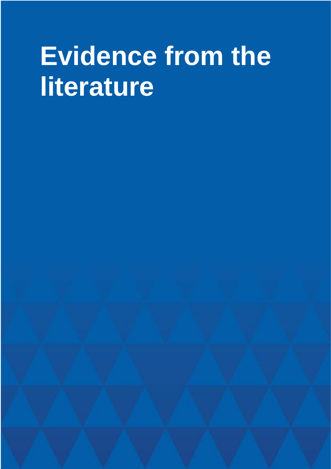## <span id="page-14-0"></span>**Evidence from the literature**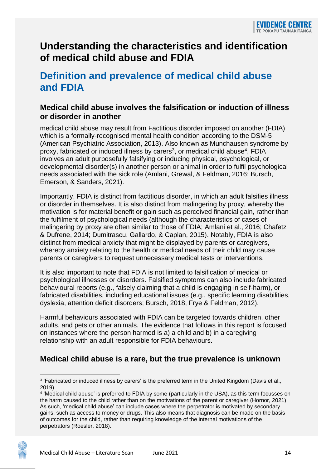## <span id="page-15-0"></span>**Understanding the characteristics and identification of medical child abuse and FDIA**

### <span id="page-15-1"></span>**Definition and prevalence of medical child abuse and FDIA**

#### **Medical child abuse involves the falsification or induction of illness or disorder in another**

medical child abuse may result from Factitious disorder imposed on another (FDIA) which is a formally-recognised mental health condition according to the DSM-5 (American Psychiatric Association, 2013). Also known as Munchausen syndrome by proxy, fabricated or induced illness by carers<sup>3</sup>, or medical child abuse<sup>4</sup>, FDIA involves an adult purposefully falsifying or inducing physical, psychological, or developmental disorder(s) in another person or animal in order to fulfil psychological needs associated with the sick role (Amlani, Grewal, & Feldman, 2016; Bursch, Emerson, & Sanders, 2021).

Importantly, FDIA is distinct from factitious disorder, in which an adult falsifies illness or disorder in themselves. It is also distinct from malingering by proxy, whereby the motivation is for material benefit or gain such as perceived financial gain, rather than the fulfilment of psychological needs (although the characteristics of cases of malingering by proxy are often similar to those of FDIA; Amlani et al., 2016; Chafetz & Dufrene, 2014; Dumitrascu, Gallardo, & Caplan, 2015). Notably, FDIA is also distinct from medical anxiety that might be displayed by parents or caregivers, whereby anxiety relating to the health or medical needs of their child may cause parents or caregivers to request unnecessary medical tests or interventions.

It is also important to note that FDIA is not limited to falsification of medical or psychological illnesses or disorders. Falsified symptoms can also include fabricated behavioural reports (e.g., falsely claiming that a child is engaging in self-harm), or fabricated disabilities, including educational issues (e.g., specific learning disabilities, dyslexia, attention deficit disorders; Bursch, 2018, Frye & Feldman, 2012).

Harmful behaviours associated with FDIA can be targeted towards children, other adults, and pets or other animals. The evidence that follows in this report is focused on instances where the person harmed is a) a child and b) in a caregiving relationship with an adult responsible for FDIA behaviours.

#### **Medical child abuse is a rare, but the true prevalence is unknown**

<sup>&</sup>lt;sup>3</sup> 'Fabricated or induced illness by carers' is the preferred term in the United Kingdom (Davis et al., 2019).

<sup>4</sup> 'Medical child abuse' is preferred to FDIA by some (particularly in the USA), as this term focusses on the harm caused to the child rather than on the motivations of the parent or caregiver (Hornor, 2021). As such, 'medical child abuse' can include cases where the perpetrator is motivated by secondary gains, such as access to money or drugs. This also means that diagnosis can be made on the basis of outcomes for the child, rather than requiring knowledge of the internal motivations of the perpetrators (Roesler, 2018).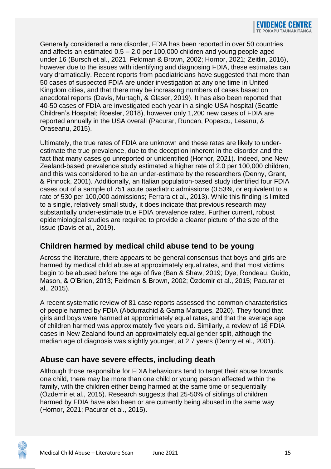Generally considered a rare disorder, FDIA has been reported in over 50 countries and affects an estimated 0.5 – 2.0 per 100,000 children and young people aged under 16 (Bursch et al., 2021; Feldman & Brown, 2002; Hornor, 2021; Zeitlin, 2016), however due to the issues with identifying and diagnosing FDIA, these estimates can vary dramatically. Recent reports from paediatricians have suggested that more than 50 cases of suspected FDIA are under investigation at any one time in United Kingdom cities, and that there may be increasing numbers of cases based on anecdotal reports (Davis, Murtagh, & Glaser, 2019). It has also been reported that 40-50 cases of FDIA are investigated each year in a single USA hospital (Seattle Children's Hospital; Roesler, 2018), however only 1,200 new cases of FDIA are reported annually in the USA overall (Pacurar, Runcan, Popescu, Lesanu, & Oraseanu, 2015).

Ultimately, the true rates of FDIA are unknown and these rates are likely to underestimate the true prevalence, due to the deception inherent in the disorder and the fact that many cases go unreported or unidentified (Hornor, 2021). Indeed, one New Zealand-based prevalence study estimated a higher rate of 2.0 per 100,000 children, and this was considered to be an under-estimate by the researchers (Denny, Grant, & Pinnock, 2001). Additionally, an Italian population-based study identified four FDIA cases out of a sample of 751 acute paediatric admissions (0.53%, or equivalent to a rate of 530 per 100,000 admissions; Ferrara et al., 2013). While this finding is limited to a single, relatively small study, it does indicate that previous research may substantially under-estimate true FDIA prevalence rates. Further current, robust epidemiological studies are required to provide a clearer picture of the size of the issue (Davis et al., 2019).

#### **Children harmed by medical child abuse tend to be young**

Across the literature, there appears to be general consensus that boys and girls are harmed by medical child abuse at approximately equal rates, and that most victims begin to be abused before the age of five (Ban & Shaw, 2019; Dye, Rondeau, Guido, Mason, & O'Brien, 2013; Feldman & Brown, 2002; Özdemir et al., 2015; Pacurar et al., 2015).

A recent systematic review of 81 case reports assessed the common characteristics of people harmed by FDIA (Abdurrachid & Gama Marques, 2020). They found that girls and boys were harmed at approximately equal rates, and that the average age of children harmed was approximately five years old. Similarly, a review of 18 FDIA cases in New Zealand found an approximately equal gender split, although the median age of diagnosis was slightly younger, at 2.7 years (Denny et al., 2001).

#### **Abuse can have severe effects, including death**

Although those responsible for FDIA behaviours tend to target their abuse towards one child, there may be more than one child or young person affected within the family, with the children either being harmed at the same time or sequentially (Özdemir et al., 2015). Research suggests that 25-50% of siblings of children harmed by FDIA have also been or are currently being abused in the same way (Hornor, 2021; Pacurar et al., 2015).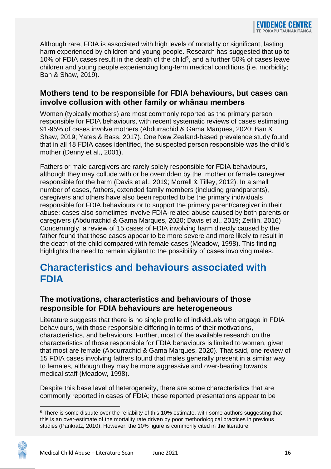Although rare, FDIA is associated with high levels of mortality or significant, lasting harm experienced by children and young people. Research has suggested that up to 10% of FDIA cases result in the death of the child<sup>5</sup>, and a further 50% of cases leave children and young people experiencing long-term medical conditions (i.e. morbidity; Ban & Shaw, 2019).

#### **Mothers tend to be responsible for FDIA behaviours, but cases can involve collusion with other family or whānau members**

Women (typically mothers) are most commonly reported as the primary person responsible for FDIA behaviours, with recent systematic reviews of cases estimating 91-95% of cases involve mothers (Abdurrachid & Gama Marques, 2020; Ban & Shaw, 2019; Yates & Bass, 2017). One New Zealand-based prevalence study found that in all 18 FDIA cases identified, the suspected person responsible was the child's mother (Denny et al., 2001).

Fathers or male caregivers are rarely solely responsible for FDIA behaviours, although they may collude with or be overridden by the mother or female caregiver responsible for the harm (Davis et al., 2019; Morrell & Tilley, 2012). In a small number of cases, fathers, extended family members (including grandparents), caregivers and others have also been reported to be the primary individuals responsible for FDIA behaviours or to support the primary parent/caregiver in their abuse; cases also sometimes involve FDIA-related abuse caused by both parents or caregivers (Abdurrachid & Gama Marques, 2020; Davis et al., 2019; Zeitlin, 2016). Concerningly, a review of 15 cases of FDIA involving harm directly caused by the father found that these cases appear to be more severe and more likely to result in the death of the child compared with female cases (Meadow, 1998). This finding highlights the need to remain vigilant to the possibility of cases involving males.

## <span id="page-17-0"></span>**Characteristics and behaviours associated with FDIA**

#### **The motivations, characteristics and behaviours of those responsible for FDIA behaviours are heterogeneous**

Literature suggests that there is no single profile of individuals who engage in FDIA behaviours, with those responsible differing in terms of their motivations, characteristics, and behaviours. Further, most of the available research on the characteristics of those responsible for FDIA behaviours is limited to women, given that most are female (Abdurrachid & Gama Marques, 2020). That said, one review of 15 FDIA cases involving fathers found that males generally present in a similar way to females, although they may be more aggressive and over-bearing towards medical staff (Meadow, 1998).

Despite this base level of heterogeneity, there are some characteristics that are commonly reported in cases of FDIA; these reported presentations appear to be

<sup>&</sup>lt;sup>5</sup> There is some dispute over the reliability of this 10% estimate, with some authors suggesting that this is an over-estimate of the mortality rate driven by poor methodological practices in previous studies (Pankratz, 2010). However, the 10% figure is commonly cited in the literature.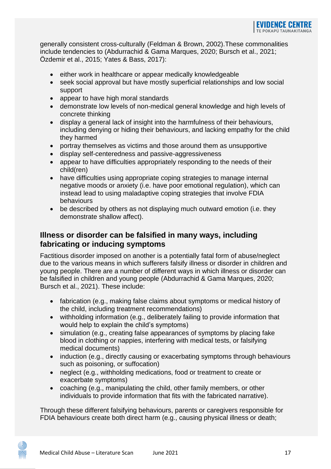generally consistent cross-culturally (Feldman & Brown, 2002).These commonalities include tendencies to (Abdurrachid & Gama Marques, 2020; Bursch et al., 2021; Özdemir et al., 2015; Yates & Bass, 2017):

- either work in healthcare or appear medically knowledgeable
- seek social approval but have mostly superficial relationships and low social support
- appear to have high moral standards
- demonstrate low levels of non-medical general knowledge and high levels of concrete thinking
- display a general lack of insight into the harmfulness of their behaviours, including denying or hiding their behaviours, and lacking empathy for the child they harmed
- portray themselves as victims and those around them as unsupportive
- display self-centeredness and passive-aggressiveness
- appear to have difficulties appropriately responding to the needs of their child(ren)
- have difficulties using appropriate coping strategies to manage internal negative moods or anxiety (i.e. have poor emotional regulation), which can instead lead to using maladaptive coping strategies that involve FDIA behaviours
- be described by others as not displaying much outward emotion (i.e. they demonstrate shallow affect).

#### **Illness or disorder can be falsified in many ways, including fabricating or inducing symptoms**

Factitious disorder imposed on another is a potentially fatal form of abuse/neglect due to the various means in which sufferers falsify illness or disorder in children and young people. There are a number of different ways in which illness or disorder can be falsified in children and young people (Abdurrachid & Gama Marques, 2020; Bursch et al., 2021). These include:

- fabrication (e.g., making false claims about symptoms or medical history of the child, including treatment recommendations)
- withholding information (e.g., deliberately failing to provide information that would help to explain the child's symptoms)
- simulation (e.g., creating false appearances of symptoms by placing fake blood in clothing or nappies, interfering with medical tests, or falsifying medical documents)
- induction (e.g., directly causing or exacerbating symptoms through behaviours such as poisoning, or suffocation)
- neglect (e.g., withholding medications, food or treatment to create or exacerbate symptoms)
- coaching (e.g., manipulating the child, other family members, or other individuals to provide information that fits with the fabricated narrative).

Through these different falsifying behaviours, parents or caregivers responsible for FDIA behaviours create both direct harm (e.g., causing physical illness or death;

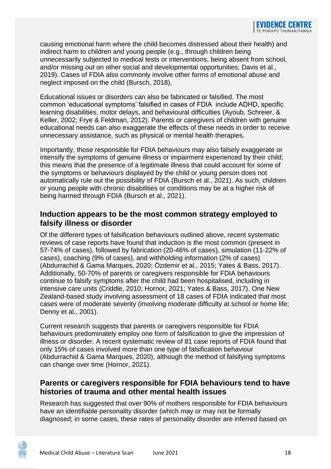causing emotional harm where the child becomes distressed about their health) and indirect harm to children and young people (e.g., through children being unnecessarily subjected to medical tests or interventions, being absent from school, and/or missing out on other social and developmental opportunities; Davis et al., 2019). Cases of FDIA also commonly involve other forms of emotional abuse and neglect imposed on the child (Bursch, 2018).

Educational issues or disorders can also be fabricated or falsified. The most common 'educational symptoms' falsified in cases of FDIA include ADHD, specific learning disabilities, motor delays, and behavioural difficulties (Ayoub, Schreier, & Keller, 2002; Frye & Feldman, 2012). Parents or caregivers of children with genuine educational needs can also exaggerate the effects of these needs in order to receive unnecessary assistance, such as physical or mental health therapies.

Importantly, those responsible for FDIA behaviours may also falsely exaggerate or intensify the symptoms of genuine illness or impairment experienced by their child; this means that the presence of a legitimate illness that could account for some of the symptoms or behaviours displayed by the child or young person does not automatically rule out the possibility of FDIA (Bursch et al., 2021). As such, children or young people with chronic disabilities or conditions may be at a higher risk of being harmed through FDIA (Bursch et al., 2021).

#### **Induction appears to be the most common strategy employed to falsify illness or disorder**

Of the different types of falsification behaviours outlined above, recent systematic reviews of case reports have found that induction is the most common (present in 57-74% of cases), followed by fabrication (20-46% of cases), simulation (11-22% of cases), coaching (9% of cases), and withholding information (2% of cases) (Abdurrachid & Gama Marques, 2020; Özdemir et al., 2015; Yates & Bass, 2017). Additionally, 50-70% of parents or caregivers responsible for FDIA behaviours continue to falsify symptoms after the child had been hospitalised, including in intensive care units (Criddle, 2010; Hornor, 2021; Yates & Bass, 2017). One New Zealand-based study involving assessment of 18 cases of FDIA indicated that most cases were of moderate severity (involving moderate difficulty at school or home life; Denny et al., 2001).

Current research suggests that parents or caregivers responsible for FDIA behaviours predominately employ one form of falsification to give the impression of illness or disorder. A recent systematic review of 81 case reports of FDIA found that only 15% of cases involved more than one type of falsification behaviour (Abdurrachid & Gama Marques, 2020), although the method of falsifying symptoms can change over time (Hornor, 2021).

#### **Parents or caregivers responsible for FDIA behaviours tend to have histories of trauma and other mental health issues**

Research has suggested that over 90% of mothers responsible for FDIA behaviours have an identifiable personality disorder (which may or may not be formally diagnosed; in some cases, these rates of personality disorder are inferred based on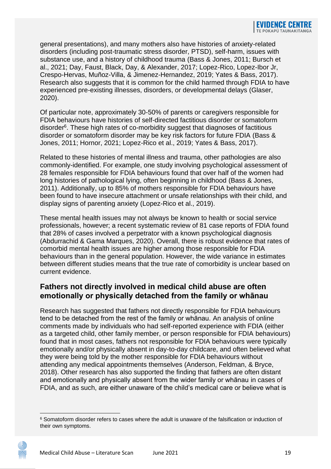general presentations), and many mothers also have histories of anxiety-related disorders (including post-traumatic stress disorder, PTSD), self-harm, issues with substance use, and a history of childhood trauma (Bass & Jones, 2011; Bursch et al., 2021; Day, Faust, Black, Day, & Alexander, 2017; Lopez-Rico, Lopez-Ibor Jr, Crespo-Hervas, Muñoz-Villa, & Jimenez-Hernandez, 2019; Yates & Bass, 2017). Research also suggests that it is common for the child harmed through FDIA to have experienced pre-existing illnesses, disorders, or developmental delays (Glaser, 2020).

Of particular note, approximately 30-50% of parents or caregivers responsible for FDIA behaviours have histories of self-directed factitious disorder or somatoform disorder<sup>6</sup>. These high rates of co-morbidity suggest that diagnoses of factitious disorder or somatoform disorder may be key risk factors for future FDIA (Bass & Jones, 2011; Hornor, 2021; Lopez-Rico et al., 2019; Yates & Bass, 2017).

Related to these histories of mental illness and trauma, other pathologies are also commonly-identified. For example, one study involving psychological assessment of 28 females responsible for FDIA behaviours found that over half of the women had long histories of pathological lying, often beginning in childhood (Bass & Jones, 2011). Additionally, up to 85% of mothers responsible for FDIA behaviours have been found to have insecure attachment or unsafe relationships with their child, and display signs of parenting anxiety (Lopez-Rico et al., 2019).

These mental health issues may not always be known to health or social service professionals, however; a recent systematic review of 81 case reports of FDIA found that 28% of cases involved a perpetrator with a known psychological diagnosis (Abdurrachid & Gama Marques, 2020). Overall, there is robust evidence that rates of comorbid mental health issues are higher among those responsible for FDIA behaviours than in the general population. However, the wide variance in estimates between different studies means that the true rate of comorbidity is unclear based on current evidence.

#### **Fathers not directly involved in medical child abuse are often emotionally or physically detached from the family or whānau**

Research has suggested that fathers not directly responsible for FDIA behaviours tend to be detached from the rest of the family or whānau. An analysis of online comments made by individuals who had self-reported experience with FDIA (either as a targeted child, other family member, or person responsible for FDIA behaviours) found that in most cases, fathers not responsible for FDIA behaviours were typically emotionally and/or physically absent in day-to-day childcare, and often believed what they were being told by the mother responsible for FDIA behaviours without attending any medical appointments themselves (Anderson, Feldman, & Bryce, 2018). Other research has also supported the finding that fathers are often distant and emotionally and physically absent from the wider family or whānau in cases of FDIA, and as such, are either unaware of the child's medical care or believe what is



<sup>6</sup> Somatoform disorder refers to cases where the adult is unaware of the falsification or induction of their own symptoms.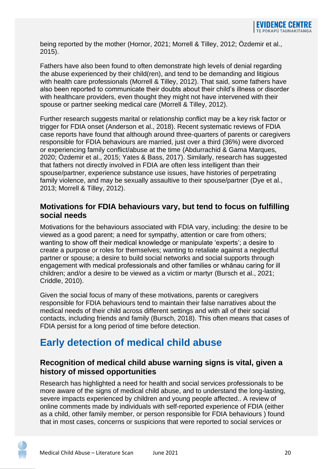being reported by the mother (Hornor, 2021; Morrell & Tilley, 2012; Özdemir et al., 2015).

Fathers have also been found to often demonstrate high levels of denial regarding the abuse experienced by their child(ren), and tend to be demanding and litigious with health care professionals (Morrell & Tilley, 2012). That said, some fathers have also been reported to communicate their doubts about their child's illness or disorder with healthcare providers, even thought they might not have intervened with their spouse or partner seeking medical care (Morrell & Tilley, 2012).

Further research suggests marital or relationship conflict may be a key risk factor or trigger for FDIA onset (Anderson et al., 2018). Recent systematic reviews of FDIA case reports have found that although around three-quarters of parents or caregivers responsible for FDIA behaviours are married, just over a third (36%) were divorced or experiencing family conflict/abuse at the time (Abdurrachid & Gama Marques, 2020; Özdemir et al., 2015; Yates & Bass, 2017). Similarly, research has suggested that fathers not directly involved in FDIA are often less intelligent than their spouse/partner, experience substance use issues, have histories of perpetrating family violence, and may be sexually assaultive to their spouse/partner (Dye et al., 2013; Morrell & Tilley, 2012).

#### **Motivations for FDIA behaviours vary, but tend to focus on fulfilling social needs**

Motivations for the behaviours associated with FDIA vary, including: the desire to be viewed as a good parent; a need for sympathy, attention or care from others; wanting to show off their medical knowledge or manipulate 'experts'; a desire to create a purpose or roles for themselves; wanting to retaliate against a neglectful partner or spouse; a desire to build social networks and social supports through engagement with medical professionals and other families or whānau caring for ill children; and/or a desire to be viewed as a victim or martyr (Bursch et al., 2021; Criddle, 2010).

Given the social focus of many of these motivations, parents or caregivers responsible for FDIA behaviours tend to maintain their false narratives about the medical needs of their child across different settings and with all of their social contacts, including friends and family (Bursch, 2018). This often means that cases of FDIA persist for a long period of time before detection.

## <span id="page-21-0"></span>**Early detection of medical child abuse**

#### **Recognition of medical child abuse warning signs is vital, given a history of missed opportunities**

Research has highlighted a need for health and social services professionals to be more aware of the signs of medical child abuse, and to understand the long-lasting, severe impacts experienced by children and young people affected.. A review of online comments made by individuals with self-reported experience of FDIA (either as a child, other family member, or person responsible for FDIA behaviours ) found that in most cases, concerns or suspicions that were reported to social services or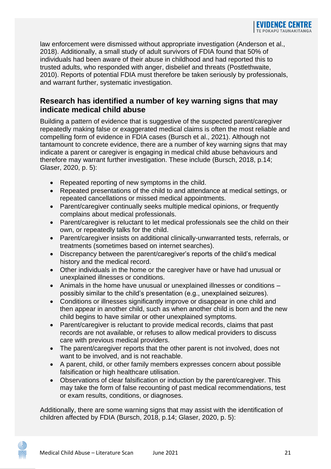law enforcement were dismissed without appropriate investigation (Anderson et al., 2018). Additionally, a small study of adult survivors of FDIA found that 50% of individuals had been aware of their abuse in childhood and had reported this to trusted adults, who responded with anger, disbelief and threats (Postlethwaite, 2010). Reports of potential FDIA must therefore be taken seriously by professionals, and warrant further, systematic investigation.

#### **Research has identified a number of key warning signs that may indicate medical child abuse**

Building a pattern of evidence that is suggestive of the suspected parent/caregiver repeatedly making false or exaggerated medical claims is often the most reliable and compelling form of evidence in FDIA cases (Bursch et al., 2021). Although not tantamount to concrete evidence, there are a number of key warning signs that may indicate a parent or caregiver is engaging in medical child abuse behaviours and therefore may warrant further investigation. These include (Bursch, 2018, p.14; Glaser, 2020, p. 5):

- Repeated reporting of new symptoms in the child.
- Repeated presentations of the child to and attendance at medical settings, or repeated cancellations or missed medical appointments.
- Parent/caregiver continually seeks multiple medical opinions, or frequently complains about medical professionals.
- Parent/caregiver is reluctant to let medical professionals see the child on their own, or repeatedly talks for the child.
- Parent/caregiver insists on additional clinically-unwarranted tests, referrals, or treatments (sometimes based on internet searches).
- Discrepancy between the parent/caregiver's reports of the child's medical history and the medical record.
- Other individuals in the home or the caregiver have or have had unusual or unexplained illnesses or conditions.
- Animals in the home have unusual or unexplained illnesses or conditions possibly similar to the child's presentation (e.g., unexplained seizures).
- Conditions or illnesses significantly improve or disappear in one child and then appear in another child, such as when another child is born and the new child begins to have similar or other unexplained symptoms.
- Parent/caregiver is reluctant to provide medical records, claims that past records are not available, or refuses to allow medical providers to discuss care with previous medical providers.
- The parent/caregiver reports that the other parent is not involved, does not want to be involved, and is not reachable.
- A parent, child, or other family members expresses concern about possible falsification or high healthcare utilisation.
- Observations of clear falsification or induction by the parent/caregiver. This may take the form of false recounting of past medical recommendations, test or exam results, conditions, or diagnoses.

Additionally, there are some warning signs that may assist with the identification of children affected by FDIA (Bursch, 2018, p.14; Glaser, 2020, p. 5):

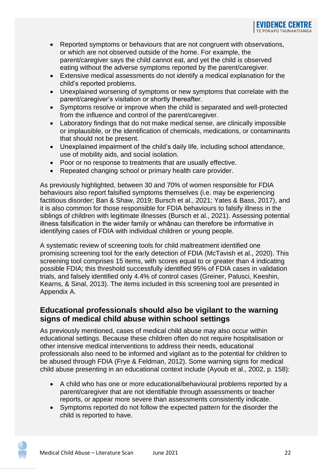- Reported symptoms or behaviours that are not congruent with observations, or which are not observed outside of the home. For example, the parent/caregiver says the child cannot eat, and yet the child is observed eating without the adverse symptoms reported by the parent/caregiver.
- Extensive medical assessments do not identify a medical explanation for the child's reported problems.
- Unexplained worsening of symptoms or new symptoms that correlate with the parent/caregiver's visitation or shortly thereafter.
- Symptoms resolve or improve when the child is separated and well-protected from the influence and control of the parent/caregiver.
- Laboratory findings that do not make medical sense, are clinically impossible or implausible, or the identification of chemicals, medications, or contaminants that should not be present.
- Unexplained impairment of the child's daily life, including school attendance, use of mobility aids, and social isolation.
- Poor or no response to treatments that are usually effective.
- Repeated changing school or primary health care provider.

As previously highlighted, between 30 and 70% of women responsible for FDIA behaviours also report falsified symptoms themselves (i.e. may be experiencing factitious disorder; Ban & Shaw, 2019; Bursch et al., 2021; Yates & Bass, 2017), and it is also common for those responsible for FDIA behaviours to falsify illness in the siblings of children with legitimate illnesses (Bursch et al., 2021). Assessing potential illness falsification in the wider family or whānau can therefore be informative in identifying cases of FDIA with individual children or young people.

A systematic review of screening tools for child maltreatment identified one promising screening tool for the early detection of FDIA (McTavish et al., 2020). This screening tool comprises 15 items, with scores equal to or greater than 4 indicating possible FDIA; this threshold successfully identified 95% of FDIA cases in validation trials, and falsely identified only 4.4% of control cases (Greiner, Palusci, Keeshin, Kearns, & Sinal, 2013). The items included in this screening tool are presented in Appendix A.

#### **Educational professionals should also be vigilant to the warning signs of medical child abuse within school settings**

As previously mentioned, cases of medical child abuse may also occur within educational settings. Because these children often do not require hospitalisation or other intensive medical interventions to address their needs, educational professionals also need to be informed and vigilant as to the potential for children to be abused through FDIA (Frye & Feldman, 2012). Some warning signs for medical child abuse presenting in an educational context include (Ayoub et al., 2002, p. 158):

- A child who has one or more educational/behavioural problems reported by a parent/caregiver that are not identifiable through assessments or teacher reports, or appear more severe than assessments consistently indicate.
- Symptoms reported do not follow the expected pattern for the disorder the child is reported to have.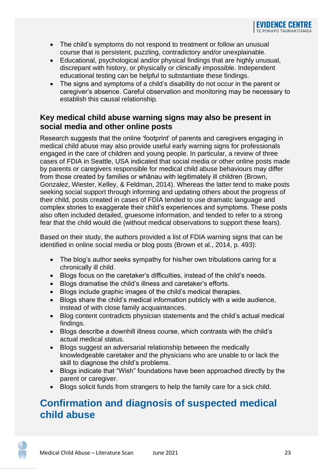- The child's symptoms do not respond to treatment or follow an unusual course that is persistent, puzzling, contradictory and/or unexplainable.
- Educational, psychological and/or physical findings that are highly unusual, discrepant with history, or physically or clinically impossible. Independent educational testing can be helpful to substantiate these findings.
- The signs and symptoms of a child's disability do not occur in the parent or caregiver's absence. Careful observation and monitoring may be necessary to establish this causal relationship.

#### **Key medical child abuse warning signs may also be present in social media and other online posts**

Research suggests that the online 'footprint' of parents and caregivers engaging in medical child abuse may also provide useful early warning signs for professionals engaged in the care of children and young people. In particular, a review of three cases of FDIA in Seattle, USA indicated that social media or other online posts made by parents or caregivers responsible for medical child abuse behaviours may differ from those created by families or whānau with legitimately ill children (Brown, Gonzalez, Wiester, Kelley, & Feldman, 2014). Whereas the latter tend to make posts seeking social support through informing and updating others about the progress of their child, posts created in cases of FDIA tended to use dramatic language and complex stories to exaggerate their child's experiences and symptoms. These posts also often included detailed, gruesome information, and tended to refer to a strong fear that the child would die (without medical observations to support these fears).

Based on their study, the authors provided a list of FDIA warning signs that can be identified in online social media or blog posts (Brown et al., 2014, p. 493):

- The blog's author seeks sympathy for his/her own tribulations caring for a chronically ill child.
- Blogs focus on the caretaker's difficulties, instead of the child's needs.
- Blogs dramatise the child's illness and caretaker's efforts.
- Blogs include graphic images of the child's medical therapies.
- Blogs share the child's medical information publicly with a wide audience, instead of with close family acquaintances.
- Blog content contradicts physician statements and the child's actual medical findings.
- Blogs describe a downhill illness course, which contrasts with the child's actual medical status.
- Blogs suggest an adversarial relationship between the medically knowledgeable caretaker and the physicians who are unable to or lack the skill to diagnose the child's problems.
- Blogs indicate that "Wish" foundations have been approached directly by the parent or caregiver.
- Blogs solicit funds from strangers to help the family care for a sick child.

## <span id="page-24-0"></span>**Confirmation and diagnosis of suspected medical child abuse**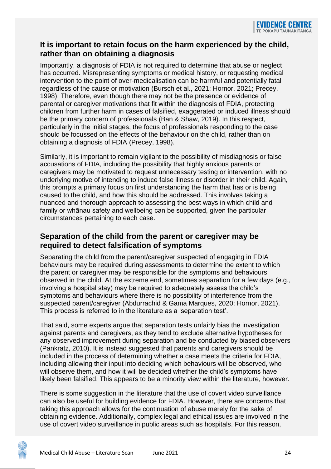#### **It is important to retain focus on the harm experienced by the child, rather than on obtaining a diagnosis**

Importantly, a diagnosis of FDIA is not required to determine that abuse or neglect has occurred. Misrepresenting symptoms or medical history, or requesting medical intervention to the point of over-medicalisation can be harmful and potentially fatal regardless of the cause or motivation (Bursch et al., 2021; Hornor, 2021; Precey, 1998). Therefore, even though there may not be the presence or evidence of parental or caregiver motivations that fit within the diagnosis of FDIA, protecting children from further harm in cases of falsified, exaggerated or induced illness should be the primary concern of professionals (Ban & Shaw, 2019). In this respect, particularly in the initial stages, the focus of professionals responding to the case should be focussed on the effects of the behaviour on the child, rather than on obtaining a diagnosis of FDIA (Precey, 1998).

Similarly, it is important to remain vigilant to the possibility of misdiagnosis or false accusations of FDIA, including the possibility that highly anxious parents or caregivers may be motivated to request unnecessary testing or intervention, with no underlying motive of intending to induce false illness or disorder in their child. Again, this prompts a primary focus on first understanding the harm that has or is being caused to the child, and how this should be addressed. This involves taking a nuanced and thorough approach to assessing the best ways in which child and family or whānau safety and wellbeing can be supported, given the particular circumstances pertaining to each case.

#### **Separation of the child from the parent or caregiver may be required to detect falsification of symptoms**

Separating the child from the parent/caregiver suspected of engaging in FDIA behaviours may be required during assessments to determine the extent to which the parent or caregiver may be responsible for the symptoms and behaviours observed in the child. At the extreme end, sometimes separation for a few days (e.g., involving a hospital stay) may be required to adequately assess the child's symptoms and behaviours where there is no possibility of interference from the suspected parent/caregiver (Abdurrachid & Gama Marques, 2020; Hornor, 2021). This process is referred to in the literature as a 'separation test'.

That said, some experts argue that separation tests unfairly bias the investigation against parents and caregivers, as they tend to exclude alternative hypotheses for any observed improvement during separation and be conducted by biased observers (Pankratz, 2010). It is instead suggested that parents and caregivers should be included in the process of determining whether a case meets the criteria for FDIA, including allowing their input into deciding which behaviours will be observed, who will observe them, and how it will be decided whether the child's symptoms have likely been falsified. This appears to be a minority view within the literature, however.

There is some suggestion in the literature that the use of covert video surveillance can also be useful for building evidence for FDIA. However, there are concerns that taking this approach allows for the continuation of abuse merely for the sake of obtaining evidence. Additionally, complex legal and ethical issues are involved in the use of covert video surveillance in public areas such as hospitals. For this reason,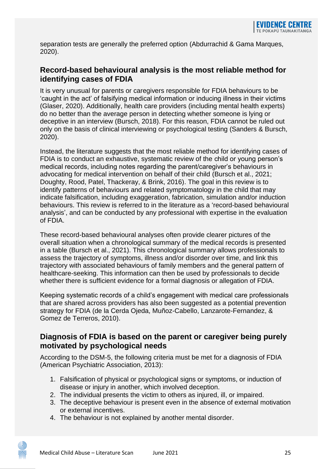separation tests are generally the preferred option (Abdurrachid & Gama Marques, 2020).

#### **Record-based behavioural analysis is the most reliable method for identifying cases of FDIA**

It is very unusual for parents or caregivers responsible for FDIA behaviours to be 'caught in the act' of falsifying medical information or inducing illness in their victims (Glaser, 2020). Additionally, health care providers (including mental health experts) do no better than the average person in detecting whether someone is lying or deceptive in an interview (Bursch, 2018). For this reason, FDIA cannot be ruled out only on the basis of clinical interviewing or psychological testing (Sanders & Bursch, 2020).

Instead, the literature suggests that the most reliable method for identifying cases of FDIA is to conduct an exhaustive, systematic review of the child or young person's medical records, including notes regarding the parent/caregiver's behaviours in advocating for medical intervention on behalf of their child (Bursch et al., 2021; Doughty, Rood, Patel, Thackeray, & Brink, 2016). The goal in this review is to identify patterns of behaviours and related symptomatology in the child that may indicate falsification, including exaggeration, fabrication, simulation and/or induction behaviours. This review is referred to in the literature as a 'record-based behavioural analysis', and can be conducted by any professional with expertise in the evaluation of FDIA.

These record-based behavioural analyses often provide clearer pictures of the overall situation when a chronological summary of the medical records is presented in a table (Bursch et al., 2021). This chronological summary allows professionals to assess the trajectory of symptoms, illness and/or disorder over time, and link this trajectory with associated behaviours of family members and the general pattern of healthcare-seeking. This information can then be used by professionals to decide whether there is sufficient evidence for a formal diagnosis or allegation of FDIA.

Keeping systematic records of a child's engagement with medical care professionals that are shared across providers has also been suggested as a potential prevention strategy for FDIA (de la Cerda Ojeda, Muñoz-Cabello, Lanzarote-Fernandez, & Gomez de Terreros, 2010).

#### **Diagnosis of FDIA is based on the parent or caregiver being purely motivated by psychological needs**

According to the DSM-5, the following criteria must be met for a diagnosis of FDIA (American Psychiatric Association, 2013):

- 1. Falsification of physical or psychological signs or symptoms, or induction of disease or injury in another, which involved deception.
- 2. The individual presents the victim to others as injured, ill, or impaired.
- 3. The deceptive behaviour is present even in the absence of external motivation or external incentives.
- 4. The behaviour is not explained by another mental disorder.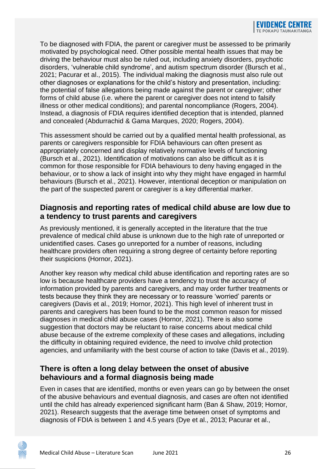To be diagnosed with FDIA, the parent or caregiver must be assessed to be primarily motivated by psychological need. Other possible mental health issues that may be driving the behaviour must also be ruled out, including anxiety disorders, psychotic disorders, 'vulnerable child syndrome', and autism spectrum disorder (Bursch et al., 2021; Pacurar et al., 2015). The individual making the diagnosis must also rule out other diagnoses or explanations for the child's history and presentation, including: the potential of false allegations being made against the parent or caregiver; other forms of child abuse (i.e. where the parent or caregiver does not intend to falsify illness or other medical conditions); and parental noncompliance (Rogers, 2004). Instead, a diagnosis of FDIA requires identified deception that is intended, planned and concealed (Abdurrachid & Gama Marques, 2020; Rogers, 2004).

This assessment should be carried out by a qualified mental health professional, as parents or caregivers responsible for FDIA behaviours can often present as appropriately concerned and display relatively normative levels of functioning (Bursch et al., 2021). Identification of motivations can also be difficult as it is common for those responsible for FDIA behaviours to deny having engaged in the behaviour, or to show a lack of insight into why they might have engaged in harmful behaviours (Bursch et al., 2021). However, intentional deception or manipulation on the part of the suspected parent or caregiver is a key differential marker.

#### **Diagnosis and reporting rates of medical child abuse are low due to a tendency to trust parents and caregivers**

As previously mentioned, it is generally accepted in the literature that the true prevalence of medical child abuse is unknown due to the high rate of unreported or unidentified cases. Cases go unreported for a number of reasons, including healthcare providers often requiring a strong degree of certainty before reporting their suspicions (Hornor, 2021).

Another key reason why medical child abuse identification and reporting rates are so low is because healthcare providers have a tendency to trust the accuracy of information provided by parents and caregivers, and may order further treatments or tests because they think they are necessary or to reassure 'worried' parents or caregivers (Davis et al., 2019; Hornor, 2021). This high level of inherent trust in parents and caregivers has been found to be the most common reason for missed diagnoses in medical child abuse cases (Hornor, 2021). There is also some suggestion that doctors may be reluctant to raise concerns about medical child abuse because of the extreme complexity of these cases and allegations, including the difficulty in obtaining required evidence, the need to involve child protection agencies, and unfamiliarity with the best course of action to take (Davis et al., 2019).

#### **There is often a long delay between the onset of abusive behaviours and a formal diagnosis being made**

Even in cases that are identified, months or even years can go by between the onset of the abusive behaviours and eventual diagnosis, and cases are often not identified until the child has already experienced significant harm (Ban & Shaw, 2019; Hornor, 2021). Research suggests that the average time between onset of symptoms and diagnosis of FDIA is between 1 and 4.5 years (Dye et al., 2013; Pacurar et al.,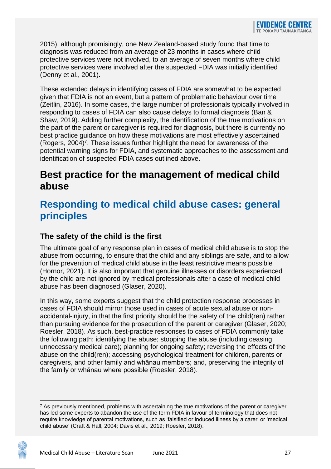2015), although promisingly, one New Zealand-based study found that time to diagnosis was reduced from an average of 23 months in cases where child protective services were not involved, to an average of seven months where child protective services were involved after the suspected FDIA was initially identified (Denny et al., 2001).

These extended delays in identifying cases of FDIA are somewhat to be expected given that FDIA is not an event, but a pattern of problematic behaviour over time (Zeitlin, 2016). In some cases, the large number of professionals typically involved in responding to cases of FDIA can also cause delays to formal diagnosis (Ban & Shaw, 2019). Adding further complexity, the identification of the true motivations on the part of the parent or caregiver is required for diagnosis, but there is currently no best practice guidance on how these motivations are most effectively ascertained (Rogers, 2004)<sup>7</sup>. These issues further highlight the need for awareness of the potential warning signs for FDIA, and systematic approaches to the assessment and identification of suspected FDIA cases outlined above.

### <span id="page-28-0"></span>**Best practice for the management of medical child abuse**

## <span id="page-28-1"></span>**Responding to medical child abuse cases: general principles**

#### **The safety of the child is the first**

The ultimate goal of any response plan in cases of medical child abuse is to stop the abuse from occurring, to ensure that the child and any siblings are safe, and to allow for the prevention of medical child abuse in the least restrictive means possible (Hornor, 2021). It is also important that genuine illnesses or disorders experienced by the child are not ignored by medical professionals after a case of medical child abuse has been diagnosed (Glaser, 2020).

In this way, some experts suggest that the child protection response processes in cases of FDIA should mirror those used in cases of acute sexual abuse or nonaccidental-injury, in that the first priority should be the safety of the child(ren) rather than pursuing evidence for the prosecution of the parent or caregiver (Glaser, 2020; Roesler, 2018). As such, best-practice responses to cases of FDIA commonly take the following path: identifying the abuse; stopping the abuse (including ceasing unnecessary medical care); planning for ongoing safety; reversing the effects of the abuse on the child(ren); accessing psychological treatment for children, parents or caregivers, and other family and whānau members; and, preserving the integrity of the family or whānau where possible (Roesler, 2018).

 $<sup>7</sup>$  As previously mentioned, problems with ascertaining the true motivations of the parent or caregiver</sup> has led some experts to abandon the use of the term FDIA in favour of terminology that does not require knowledge of parental motivations, such as 'falsified or induced illness by a carer' or 'medical child abuse' (Craft & Hall, 2004; Davis et al., 2019; Roesler, 2018).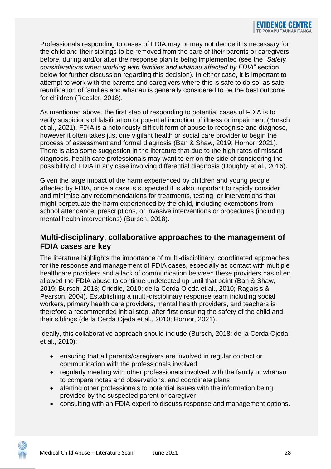Professionals responding to cases of FDIA may or may not decide it is necessary for the child and their siblings to be removed from the care of their parents or caregivers before, during and/or after the response plan is being implemented (see the "*Safety considerations when working with families and whānau affected by FDIA*" section below for further discussion regarding this decision). In either case, it is important to attempt to work with the parents and caregivers where this is safe to do so, as safe reunification of families and whānau is generally considered to be the best outcome for children (Roesler, 2018).

As mentioned above, the first step of responding to potential cases of FDIA is to verify suspicions of falsification or potential induction of illness or impairment (Bursch et al., 2021). FDIA is a notoriously difficult form of abuse to recognise and diagnose, however it often takes just one vigilant health or social care provider to begin the process of assessment and formal diagnosis (Ban & Shaw, 2019; Hornor, 2021). There is also some suggestion in the literature that due to the high rates of missed diagnosis, health care professionals may want to err on the side of considering the possibility of FDIA in any case involving differential diagnosis (Doughty et al., 2016).

Given the large impact of the harm experienced by children and young people affected by FDIA, once a case is suspected it is also important to rapidly consider and minimise any recommendations for treatments, testing, or interventions that might perpetuate the harm experienced by the child, including exemptions from school attendance, prescriptions, or invasive interventions or procedures (including mental health interventions) (Bursch, 2018).

#### **Multi-disciplinary, collaborative approaches to the management of FDIA cases are key**

The literature highlights the importance of multi-disciplinary, coordinated approaches for the response and management of FDIA cases, especially as contact with multiple healthcare providers and a lack of communication between these providers has often allowed the FDIA abuse to continue undetected up until that point (Ban & Shaw, 2019; Bursch, 2018; Criddle, 2010; de la Cerda Ojeda et al., 2010; Ragaisis & Pearson, 2004). Establishing a multi-disciplinary response team including social workers, primary health care providers, mental health providers, and teachers is therefore a recommended initial step, after first ensuring the safety of the child and their siblings (de la Cerda Ojeda et al., 2010; Hornor, 2021).

Ideally, this collaborative approach should include (Bursch, 2018; de la Cerda Ojeda et al., 2010):

- ensuring that all parents/caregivers are involved in regular contact or communication with the professionals involved
- regularly meeting with other professionals involved with the family or whānau to compare notes and observations, and coordinate plans
- alerting other professionals to potential issues with the information being provided by the suspected parent or caregiver
- consulting with an FDIA expert to discuss response and management options.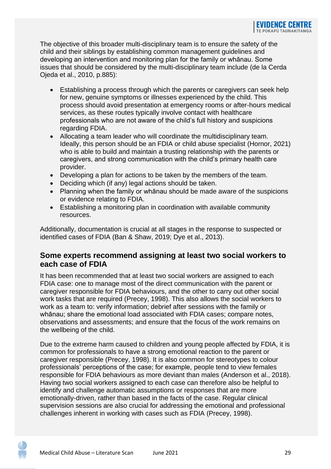The objective of this broader multi-disciplinary team is to ensure the safety of the child and their siblings by establishing common management guidelines and developing an intervention and monitoring plan for the family or whānau. Some issues that should be considered by the multi-disciplinary team include (de la Cerda Ojeda et al., 2010, p.885):

- Establishing a process through which the parents or caregivers can seek help for new, genuine symptoms or illnesses experienced by the child. This process should avoid presentation at emergency rooms or after-hours medical services, as these routes typically involve contact with healthcare professionals who are not aware of the child's full history and suspicions regarding FDIA.
- Allocating a team leader who will coordinate the multidisciplinary team. Ideally, this person should be an FDIA or child abuse specialist (Hornor, 2021) who is able to build and maintain a trusting relationship with the parents or caregivers, and strong communication with the child's primary health care provider.
- Developing a plan for actions to be taken by the members of the team.
- Deciding which (if any) legal actions should be taken.
- Planning when the family or whānau should be made aware of the suspicions or evidence relating to FDIA.
- Establishing a monitoring plan in coordination with available community resources.

Additionally, documentation is crucial at all stages in the response to suspected or identified cases of FDIA (Ban & Shaw, 2019; Dye et al., 2013).

#### **Some experts recommend assigning at least two social workers to each case of FDIA**

It has been recommended that at least two social workers are assigned to each FDIA case: one to manage most of the direct communication with the parent or caregiver responsible for FDIA behaviours, and the other to carry out other social work tasks that are required (Precey, 1998). This also allows the social workers to work as a team to: verify information; debrief after sessions with the family or whānau; share the emotional load associated with FDIA cases; compare notes, observations and assessments; and ensure that the focus of the work remains on the wellbeing of the child.

Due to the extreme harm caused to children and young people affected by FDIA, it is common for professionals to have a strong emotional reaction to the parent or caregiver responsible (Precey, 1998). It is also common for stereotypes to colour professionals' perceptions of the case; for example, people tend to view females responsible for FDIA behaviours as more deviant than males (Anderson et al., 2018). Having two social workers assigned to each case can therefore also be helpful to identify and challenge automatic assumptions or responses that are more emotionally-driven, rather than based in the facts of the case. Regular clinical supervision sessions are also crucial for addressing the emotional and professional challenges inherent in working with cases such as FDIA (Precey, 1998).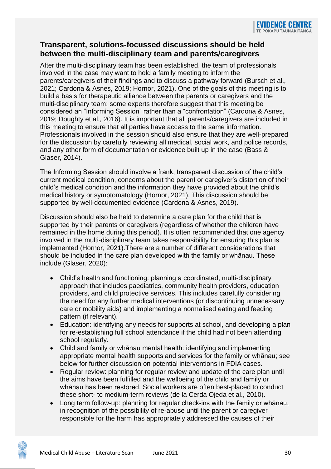#### **Transparent, solutions-focussed discussions should be held between the multi-disciplinary team and parents/caregivers**

After the multi-disciplinary team has been established, the team of professionals involved in the case may want to hold a family meeting to inform the parents/caregivers of their findings and to discuss a pathway forward (Bursch et al., 2021; Cardona & Asnes, 2019; Hornor, 2021). One of the goals of this meeting is to build a basis for therapeutic alliance between the parents or caregivers and the multi-disciplinary team; some experts therefore suggest that this meeting be considered an "Informing Session" rather than a "confrontation" (Cardona & Asnes, 2019; Doughty et al., 2016). It is important that all parents/caregivers are included in this meeting to ensure that all parties have access to the same information. Professionals involved in the session should also ensure that they are well-prepared for the discussion by carefully reviewing all medical, social work, and police records, and any other form of documentation or evidence built up in the case (Bass & Glaser, 2014).

The Informing Session should involve a frank, transparent discussion of the child's current medical condition, concerns about the parent or caregiver's distortion of their child's medical condition and the information they have provided about the child's medical history or symptomatology (Hornor, 2021). This discussion should be supported by well-documented evidence (Cardona & Asnes, 2019).

Discussion should also be held to determine a care plan for the child that is supported by their parents or caregivers (regardless of whether the children have remained in the home during this period). It is often recommended that one agency involved in the multi-disciplinary team takes responsibility for ensuring this plan is implemented (Hornor, 2021).There are a number of different considerations that should be included in the care plan developed with the family or whānau. These include (Glaser, 2020):

- Child's health and functioning: planning a coordinated, multi-disciplinary approach that includes paediatrics, community health providers, education providers, and child protective services. This includes carefully considering the need for any further medical interventions (or discontinuing unnecessary care or mobility aids) and implementing a normalised eating and feeding pattern (if relevant).
- Education: identifying any needs for supports at school, and developing a plan for re-establishing full school attendance if the child had not been attending school regularly.
- Child and family or whānau mental health: identifying and implementing appropriate mental health supports and services for the family or whānau; see below for further discussion on potential interventions in FDIA cases.
- Regular review: planning for regular review and update of the care plan until the aims have been fulfilled and the wellbeing of the child and family or whānau has been restored. Social workers are often best-placed to conduct these short- to medium-term reviews (de la Cerda Ojeda et al., 2010).
- Long term follow-up: planning for regular check-ins with the family or whānau, in recognition of the possibility of re-abuse until the parent or caregiver responsible for the harm has appropriately addressed the causes of their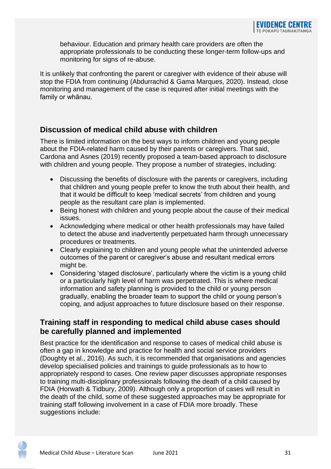behaviour. Education and primary health care providers are often the appropriate professionals to be conducting these longer-term follow-ups and monitoring for signs of re-abuse.

It is unlikely that confronting the parent or caregiver with evidence of their abuse will stop the FDIA from continuing (Abdurrachid & Gama Marques, 2020). Instead, close monitoring and management of the case is required after initial meetings with the family or whānau.

#### **Discussion of medical child abuse with children**

There is limited information on the best ways to inform children and young people about the FDIA-related harm caused by their parents or caregivers. That said, Cardona and Asnes (2019) recently proposed a team-based approach to disclosure with children and young people. They propose a number of strategies, including:

- Discussing the benefits of disclosure with the parents or caregivers, including that children and young people prefer to know the truth about their health, and that it would be difficult to keep 'medical secrets' from children and young people as the resultant care plan is implemented.
- Being honest with children and young people about the cause of their medical issues.
- Acknowledging where medical or other health professionals may have failed to detect the abuse and inadvertently perpetuated harm through unnecessary procedures or treatments.
- Clearly explaining to children and young people what the unintended adverse outcomes of the parent or caregiver's abuse and resultant medical errors might be.
- Considering 'staged disclosure', particularly where the victim is a young child or a particularly high level of harm was perpetrated. This is where medical information and safety planning is provided to the child or young person gradually, enabling the broader team to support the child or young person's coping, and adjust approaches to future disclosure based on their response.

#### **Training staff in responding to medical child abuse cases should be carefully planned and implemented**

Best practice for the identification and response to cases of medical child abuse is often a gap in knowledge and practice for health and social service providers (Doughty et al., 2016). As such, it is recommended that organisations and agencies develop specialised policies and trainings to guide professionals as to how to appropriately respond to cases. One review paper discusses appropriate responses to training multi-disciplinary professionals following the death of a child caused by FDIA (Horwath & Tidbury, 2009). Although only a proportion of cases will result in the death of the child, some of these suggested approaches may be appropriate for training staff following involvement in a case of FDIA more broadly. These suggestions include: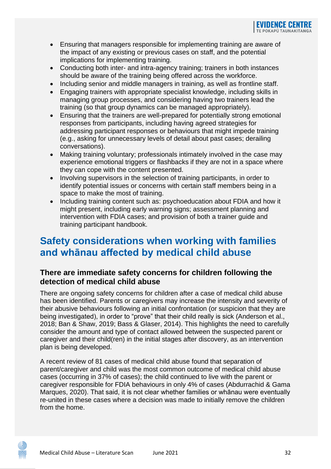- Ensuring that managers responsible for implementing training are aware of the impact of any existing or previous cases on staff, and the potential implications for implementing training.
- Conducting both inter- and intra-agency training; trainers in both instances should be aware of the training being offered across the workforce.
- Including senior and middle managers in training, as well as frontline staff.
- Engaging trainers with appropriate specialist knowledge, including skills in managing group processes, and considering having two trainers lead the training (so that group dynamics can be managed appropriately).
- Ensuring that the trainers are well-prepared for potentially strong emotional responses from participants, including having agreed strategies for addressing participant responses or behaviours that might impede training (e.g., asking for unnecessary levels of detail about past cases; derailing conversations).
- Making training voluntary; professionals intimately involved in the case may experience emotional triggers or flashbacks if they are not in a space where they can cope with the content presented.
- Involving supervisors in the selection of training participants, in order to identify potential issues or concerns with certain staff members being in a space to make the most of training.
- Including training content such as: psychoeducation about FDIA and how it might present, including early warning signs; assessment planning and intervention with FDIA cases; and provision of both a trainer guide and training participant handbook.

## <span id="page-33-0"></span>**Safety considerations when working with families and whānau affected by medical child abuse**

#### **There are immediate safety concerns for children following the detection of medical child abuse**

There are ongoing safety concerns for children after a case of medical child abuse has been identified. Parents or caregivers may increase the intensity and severity of their abusive behaviours following an initial confrontation (or suspicion that they are being investigated), in order to "prove" that their child really is sick (Anderson et al., 2018; Ban & Shaw, 2019; Bass & Glaser, 2014). This highlights the need to carefully consider the amount and type of contact allowed between the suspected parent or caregiver and their child(ren) in the initial stages after discovery, as an intervention plan is being developed.

A recent review of 81 cases of medical child abuse found that separation of parent/caregiver and child was the most common outcome of medical child abuse cases (occurring in 37% of cases); the child continued to live with the parent or caregiver responsible for FDIA behaviours in only 4% of cases (Abdurrachid & Gama Marques, 2020). That said, it is not clear whether families or whānau were eventually re-united in these cases where a decision was made to initially remove the children from the home.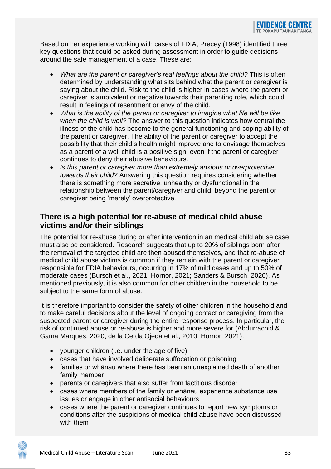Based on her experience working with cases of FDIA, Precey (1998) identified three key questions that could be asked during assessment in order to guide decisions around the safe management of a case. These are:

- *What are the parent or caregiver's real feelings about the child?* This is often determined by understanding what sits behind what the parent or caregiver is saying about the child. Risk to the child is higher in cases where the parent or caregiver is ambivalent or negative towards their parenting role, which could result in feelings of resentment or envy of the child.
- *What is the ability of the parent or caregiver to imagine what life will be like when the child is well?* The answer to this question indicates how central the illness of the child has become to the general functioning and coping ability of the parent or caregiver. The ability of the parent or caregiver to accept the possibility that their child's health might improve and to envisage themselves as a parent of a well child is a positive sign, even if the parent or caregiver continues to deny their abusive behaviours.
- *Is this parent or caregiver more than extremely anxious or overprotective towards their child?* Answering this question requires considering whether there is something more secretive, unhealthy or dysfunctional in the relationship between the parent/caregiver and child, beyond the parent or caregiver being 'merely' overprotective.

#### **There is a high potential for re-abuse of medical child abuse victims and/or their siblings**

The potential for re-abuse during or after intervention in an medical child abuse case must also be considered. Research suggests that up to 20% of siblings born after the removal of the targeted child are then abused themselves, and that re-abuse of medical child abuse victims is common if they remain with the parent or caregiver responsible for FDIA behaviours, occurring in 17% of mild cases and up to 50% of moderate cases (Bursch et al., 2021; Hornor, 2021; Sanders & Bursch, 2020). As mentioned previously, it is also common for other children in the household to be subject to the same form of abuse.

It is therefore important to consider the safety of other children in the household and to make careful decisions about the level of ongoing contact or caregiving from the suspected parent or caregiver during the entire response process. In particular, the risk of continued abuse or re-abuse is higher and more severe for (Abdurrachid & Gama Marques, 2020; de la Cerda Ojeda et al., 2010; Hornor, 2021):

- younger children (i.e. under the age of five)
- cases that have involved deliberate suffocation or poisoning
- families or whānau where there has been an unexplained death of another family member
- parents or caregivers that also suffer from factitious disorder
- cases where members of the family or whānau experience substance use issues or engage in other antisocial behaviours
- cases where the parent or caregiver continues to report new symptoms or conditions after the suspicions of medical child abuse have been discussed with them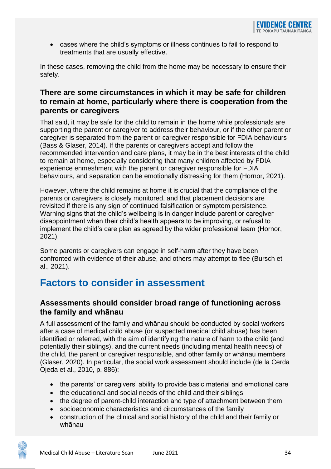• cases where the child's symptoms or illness continues to fail to respond to treatments that are usually effective.

In these cases, removing the child from the home may be necessary to ensure their safety.

#### **There are some circumstances in which it may be safe for children to remain at home, particularly where there is cooperation from the parents or caregivers**

That said, it may be safe for the child to remain in the home while professionals are supporting the parent or caregiver to address their behaviour, or if the other parent or caregiver is separated from the parent or caregiver responsible for FDIA behaviours (Bass & Glaser, 2014). If the parents or caregivers accept and follow the recommended intervention and care plans, it may be in the best interests of the child to remain at home, especially considering that many children affected by FDIA experience enmeshment with the parent or caregiver responsible for FDIA behaviours, and separation can be emotionally distressing for them (Hornor, 2021).

However, where the child remains at home it is crucial that the compliance of the parents or caregivers is closely monitored, and that placement decisions are revisited if there is any sign of continued falsification or symptom persistence. Warning signs that the child's wellbeing is in danger include parent or caregiver disappointment when their child's health appears to be improving, or refusal to implement the child's care plan as agreed by the wider professional team (Hornor, 2021).

Some parents or caregivers can engage in self-harm after they have been confronted with evidence of their abuse, and others may attempt to flee (Bursch et al., 2021).

## <span id="page-35-0"></span>**Factors to consider in assessment**

#### **Assessments should consider broad range of functioning across the family and whānau**

A full assessment of the family and whānau should be conducted by social workers after a case of medical child abuse (or suspected medical child abuse) has been identified or referred, with the aim of identifying the nature of harm to the child (and potentially their siblings), and the current needs (including mental health needs) of the child, the parent or caregiver responsible, and other family or whānau members (Glaser, 2020). In particular, the social work assessment should include (de la Cerda Ojeda et al., 2010, p. 886):

- the parents' or caregivers' ability to provide basic material and emotional care
- the educational and social needs of the child and their siblings
- the degree of parent-child interaction and type of attachment between them
- socioeconomic characteristics and circumstances of the family
- construction of the clinical and social history of the child and their family or whānau

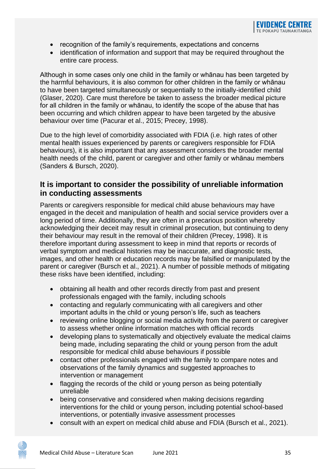- recognition of the family's requirements, expectations and concerns
- identification of information and support that may be required throughout the entire care process.

Although in some cases only one child in the family or whānau has been targeted by the harmful behaviours, it is also common for other children in the family or whānau to have been targeted simultaneously or sequentially to the initially-identified child (Glaser, 2020). Care must therefore be taken to assess the broader medical picture for all children in the family or whānau, to identify the scope of the abuse that has been occurring and which children appear to have been targeted by the abusive behaviour over time (Pacurar et al., 2015; Precey, 1998).

Due to the high level of comorbidity associated with FDIA (i.e. high rates of other mental health issues experienced by parents or caregivers responsible for FDIA behaviours), it is also important that any assessment considers the broader mental health needs of the child, parent or caregiver and other family or whānau members (Sanders & Bursch, 2020).

#### **It is important to consider the possibility of unreliable information in conducting assessments**

Parents or caregivers responsible for medical child abuse behaviours may have engaged in the deceit and manipulation of health and social service providers over a long period of time. Additionally, they are often in a precarious position whereby acknowledging their deceit may result in criminal prosecution, but continuing to deny their behaviour may result in the removal of their children (Precey, 1998). It is therefore important during assessment to keep in mind that reports or records of verbal symptom and medical histories may be inaccurate, and diagnostic tests, images, and other health or education records may be falsified or manipulated by the parent or caregiver (Bursch et al., 2021). A number of possible methods of mitigating these risks have been identified, including:

- obtaining all health and other records directly from past and present professionals engaged with the family, including schools
- contacting and regularly communicating with all caregivers and other important adults in the child or young person's life, such as teachers
- reviewing online blogging or social media activity from the parent or caregiver to assess whether online information matches with official records
- developing plans to systematically and objectively evaluate the medical claims being made, including separating the child or young person from the adult responsible for medical child abuse behaviours if possible
- contact other professionals engaged with the family to compare notes and observations of the family dynamics and suggested approaches to intervention or management
- flagging the records of the child or young person as being potentially unreliable
- being conservative and considered when making decisions regarding interventions for the child or young person, including potential school-based interventions, or potentially invasive assessment processes
- consult with an expert on medical child abuse and FDIA (Bursch et al., 2021).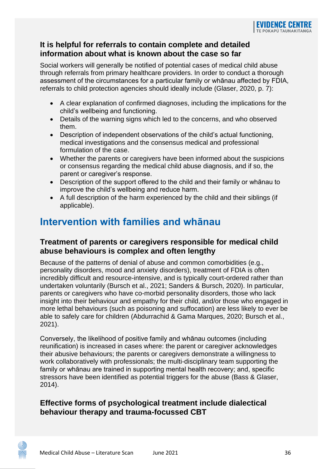#### **It is helpful for referrals to contain complete and detailed information about what is known about the case so far**

Social workers will generally be notified of potential cases of medical child abuse through referrals from primary healthcare providers. In order to conduct a thorough assessment of the circumstances for a particular family or whānau affected by FDIA, referrals to child protection agencies should ideally include (Glaser, 2020, p. 7):

- A clear explanation of confirmed diagnoses, including the implications for the child's wellbeing and functioning.
- Details of the warning signs which led to the concerns, and who observed them.
- Description of independent observations of the child's actual functioning, medical investigations and the consensus medical and professional formulation of the case.
- Whether the parents or caregivers have been informed about the suspicions or consensus regarding the medical child abuse diagnosis, and if so, the parent or caregiver's response.
- Description of the support offered to the child and their family or whānau to improve the child's wellbeing and reduce harm.
- A full description of the harm experienced by the child and their siblings (if applicable).

## <span id="page-37-0"></span>**Intervention with families and whānau**

#### **Treatment of parents or caregivers responsible for medical child abuse behaviours is complex and often lengthy**

Because of the patterns of denial of abuse and common comorbidities (e.g., personality disorders, mood and anxiety disorders), treatment of FDIA is often incredibly difficult and resource-intensive, and is typically court-ordered rather than undertaken voluntarily (Bursch et al., 2021; Sanders & Bursch, 2020). In particular, parents or caregivers who have co-morbid personality disorders, those who lack insight into their behaviour and empathy for their child, and/or those who engaged in more lethal behaviours (such as poisoning and suffocation) are less likely to ever be able to safely care for children (Abdurrachid & Gama Marques, 2020; Bursch et al., 2021).

Conversely, the likelihood of positive family and whānau outcomes (including reunification) is increased in cases where: the parent or caregiver acknowledges their abusive behaviours; the parents or caregivers demonstrate a willingness to work collaboratively with professionals; the multi-disciplinary team supporting the family or whānau are trained in supporting mental health recovery; and, specific stressors have been identified as potential triggers for the abuse (Bass & Glaser, 2014).

#### **Effective forms of psychological treatment include dialectical behaviour therapy and trauma-focussed CBT**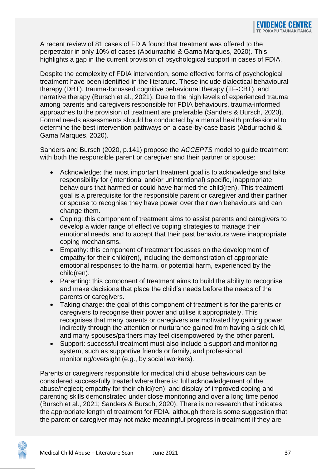A recent review of 81 cases of FDIA found that treatment was offered to the perpetrator in only 10% of cases (Abdurrachid & Gama Marques, 2020). This highlights a gap in the current provision of psychological support in cases of FDIA.

Despite the complexity of FDIA intervention, some effective forms of psychological treatment have been identified in the literature. These include dialectical behavioural therapy (DBT), trauma-focussed cognitive behavioural therapy (TF-CBT), and narrative therapy (Bursch et al., 2021). Due to the high levels of experienced trauma among parents and caregivers responsible for FDIA behaviours, trauma-informed approaches to the provision of treatment are preferable (Sanders & Bursch, 2020). Formal needs assessments should be conducted by a mental health professional to determine the best intervention pathways on a case-by-case basis (Abdurrachid & Gama Marques, 2020).

Sanders and Bursch (2020, p.141) propose the *ACCEPTS* model to guide treatment with both the responsible parent or caregiver and their partner or spouse:

- Acknowledge: the most important treatment goal is to acknowledge and take responsibility for (intentional and/or unintentional) specific, inappropriate behaviours that harmed or could have harmed the child(ren). This treatment goal is a prerequisite for the responsible parent or caregiver and their partner or spouse to recognise they have power over their own behaviours and can change them.
- Coping: this component of treatment aims to assist parents and caregivers to develop a wider range of effective coping strategies to manage their emotional needs, and to accept that their past behaviours were inappropriate coping mechanisms.
- Empathy: this component of treatment focusses on the development of empathy for their child(ren), including the demonstration of appropriate emotional responses to the harm, or potential harm, experienced by the child(ren).
- Parenting: this component of treatment aims to build the ability to recognise and make decisions that place the child's needs before the needs of the parents or caregivers.
- Taking charge: the goal of this component of treatment is for the parents or caregivers to recognise their power and utilise it appropriately. This recognises that many parents or caregivers are motivated by gaining power indirectly through the attention or nurturance gained from having a sick child, and many spouses/partners may feel disempowered by the other parent.
- Support: successful treatment must also include a support and monitoring system, such as supportive friends or family, and professional monitoring/oversight (e.g., by social workers).

Parents or caregivers responsible for medical child abuse behaviours can be considered successfully treated where there is: full acknowledgement of the abuse/neglect; empathy for their child(ren); and display of improved coping and parenting skills demonstrated under close monitoring and over a long time period (Bursch et al., 2021; Sanders & Bursch, 2020). There is no research that indicates the appropriate length of treatment for FDIA, although there is some suggestion that the parent or caregiver may not make meaningful progress in treatment if they are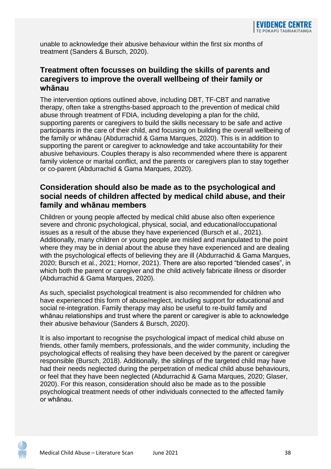unable to acknowledge their abusive behaviour within the first six months of treatment (Sanders & Bursch, 2020).

#### **Treatment often focusses on building the skills of parents and caregivers to improve the overall wellbeing of their family or whānau**

The intervention options outlined above, including DBT, TF-CBT and narrative therapy, often take a strengths-based approach to the prevention of medical child abuse through treatment of FDIA, including developing a plan for the child, supporting parents or caregivers to build the skills necessary to be safe and active participants in the care of their child, and focusing on building the overall wellbeing of the family or whānau (Abdurrachid & Gama Marques, 2020). This is in addition to supporting the parent or caregiver to acknowledge and take accountability for their abusive behaviours. Couples therapy is also recommended where there is apparent family violence or marital conflict, and the parents or caregivers plan to stay together or co-parent (Abdurrachid & Gama Marques, 2020).

#### **Consideration should also be made as to the psychological and social needs of children affected by medical child abuse, and their family and whānau members**

Children or young people affected by medical child abuse also often experience severe and chronic psychological, physical, social, and educational/occupational issues as a result of the abuse they have experienced (Bursch et al., 2021). Additionally, many children or young people are misled and manipulated to the point where they may be in denial about the abuse they have experienced and are dealing with the psychological effects of believing they are ill (Abdurrachid & Gama Marques, 2020; Bursch et al., 2021; Hornor, 2021). There are also reported "blended cases", in which both the parent or caregiver and the child actively fabricate illness or disorder (Abdurrachid & Gama Marques, 2020).

As such, specialist psychological treatment is also recommended for children who have experienced this form of abuse/neglect, including support for educational and social re-integration. Family therapy may also be useful to re-build family and whānau relationships and trust where the parent or caregiver is able to acknowledge their abusive behaviour (Sanders & Bursch, 2020).

It is also important to recognise the psychological impact of medical child abuse on friends, other family members, professionals, and the wider community, including the psychological effects of realising they have been deceived by the parent or caregiver responsible (Bursch, 2018). Additionally, the siblings of the targeted child may have had their needs neglected during the perpetration of medical child abuse behaviours, or feel that they have been neglected (Abdurrachid & Gama Marques, 2020; Glaser, 2020). For this reason, consideration should also be made as to the possible psychological treatment needs of other individuals connected to the affected family or whānau.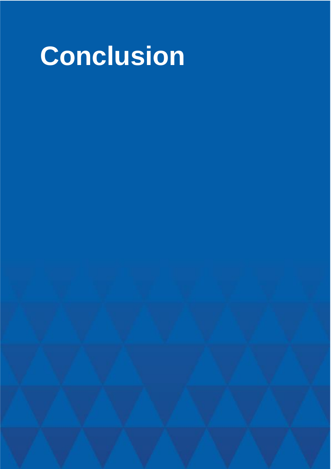<span id="page-40-0"></span>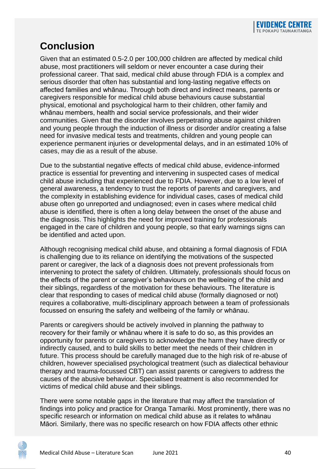## <span id="page-41-0"></span>**Conclusion**

Given that an estimated 0.5-2.0 per 100,000 children are affected by medical child abuse, most practitioners will seldom or never encounter a case during their professional career. That said, medical child abuse through FDIA is a complex and serious disorder that often has substantial and long-lasting negative effects on affected families and whānau. Through both direct and indirect means, parents or caregivers responsible for medical child abuse behaviours cause substantial physical, emotional and psychological harm to their children, other family and whānau members, health and social service professionals, and their wider communities. Given that the disorder involves perpetrating abuse against children and young people through the induction of illness or disorder and/or creating a false need for invasive medical tests and treatments, children and young people can experience permanent injuries or developmental delays, and in an estimated 10% of cases, may die as a result of the abuse.

Due to the substantial negative effects of medical child abuse, evidence-informed practice is essential for preventing and intervening in suspected cases of medical child abuse including that experienced due to FDIA. However, due to a low level of general awareness, a tendency to trust the reports of parents and caregivers, and the complexity in establishing evidence for individual cases, cases of medical child abuse often go unreported and undiagnosed; even in cases where medical child abuse is identified, there is often a long delay between the onset of the abuse and the diagnosis. This highlights the need for improved training for professionals engaged in the care of children and young people, so that early warnings signs can be identified and acted upon.

Although recognising medical child abuse, and obtaining a formal diagnosis of FDIA is challenging due to its reliance on identifying the motivations of the suspected parent or caregiver, the lack of a diagnosis does not prevent professionals from intervening to protect the safety of children. Ultimately, professionals should focus on the effects of the parent or caregiver's behaviours on the wellbeing of the child and their siblings, regardless of the motivation for these behaviours. The literature is clear that responding to cases of medical child abuse (formally diagnosed or not) requires a collaborative, multi-disciplinary approach between a team of professionals focussed on ensuring the safety and wellbeing of the family or whānau.

Parents or caregivers should be actively involved in planning the pathway to recovery for their family or whānau where it is safe to do so, as this provides an opportunity for parents or caregivers to acknowledge the harm they have directly or indirectly caused, and to build skills to better meet the needs of their children in future. This process should be carefully managed due to the high risk of re-abuse of children, however specialised psychological treatment (such as dialectical behaviour therapy and trauma-focussed CBT) can assist parents or caregivers to address the causes of the abusive behaviour. Specialised treatment is also recommended for victims of medical child abuse and their siblings.

There were some notable gaps in the literature that may affect the translation of findings into policy and practice for Oranga Tamariki. Most prominently, there was no specific research or information on medical child abuse as it relates to whānau Māori. Similarly, there was no specific research on how FDIA affects other ethnic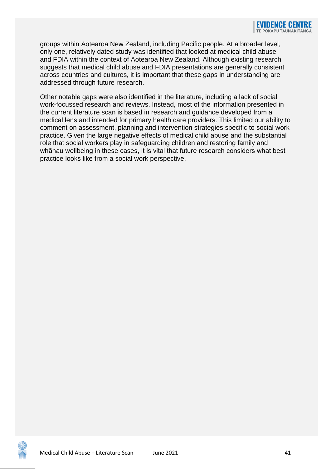groups within Aotearoa New Zealand, including Pacific people. At a broader level, only one, relatively dated study was identified that looked at medical child abuse and FDIA within the context of Aotearoa New Zealand. Although existing research suggests that medical child abuse and FDIA presentations are generally consistent across countries and cultures, it is important that these gaps in understanding are addressed through future research.

Other notable gaps were also identified in the literature, including a lack of social work-focussed research and reviews. Instead, most of the information presented in the current literature scan is based in research and guidance developed from a medical lens and intended for primary health care providers. This limited our ability to comment on assessment, planning and intervention strategies specific to social work practice. Given the large negative effects of medical child abuse and the substantial role that social workers play in safeguarding children and restoring family and whānau wellbeing in these cases, it is vital that future research considers what best practice looks like from a social work perspective.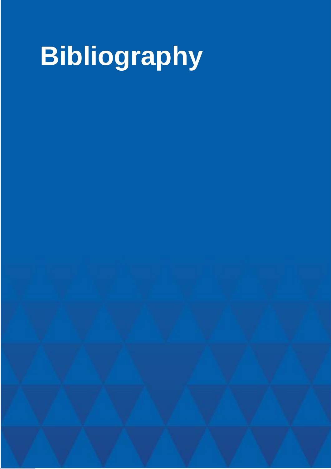# <span id="page-43-0"></span>**Bibliography**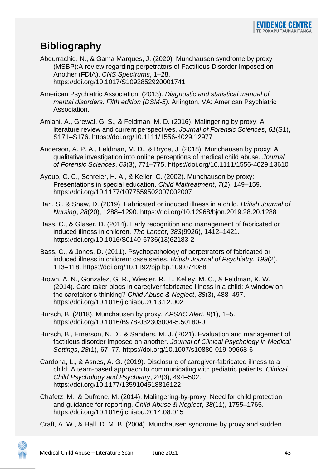## <span id="page-44-0"></span>**Bibliography**

Abdurrachid, N., & Gama Marques, J. (2020). Munchausen syndrome by proxy (MSBP):A review regarding perpetrators of Factitious Disorder Imposed on Another (FDIA). *CNS Spectrums*, 1–28. https://doi.org/10.1017/S1092852920001741

- American Psychiatric Association. (2013). *Diagnostic and statistical manual of mental disorders: Fifth edition (DSM-5)*. Arlington, VA: American Psychiatric Association.
- Amlani, A., Grewal, G. S., & Feldman, M. D. (2016). Malingering by proxy: A literature review and current perspectives. *Journal of Forensic Sciences*, *61*(S1), S171–S176. https://doi.org/10.1111/1556-4029.12977
- Anderson, A. P. A., Feldman, M. D., & Bryce, J. (2018). Munchausen by proxy: A qualitative investigation into online perceptions of medical child abuse. *Journal of Forensic Sciences*, *63*(3), 771–775. https://doi.org/10.1111/1556-4029.13610
- Ayoub, C. C., Schreier, H. A., & Keller, C. (2002). Munchausen by proxy: Presentations in special education. *Child Maltreatment*, *7*(2), 149–159. https://doi.org/10.1177/1077559502007002007
- Ban, S., & Shaw, D. (2019). Fabricated or induced illness in a child. *British Journal of Nursing*, *28*(20), 1288–1290. https://doi.org/10.12968/bjon.2019.28.20.1288
- Bass, C., & Glaser, D. (2014). Early recognition and management of fabricated or induced illness in children. *The Lancet*, *383*(9926), 1412–1421. https://doi.org/10.1016/S0140-6736(13)62183-2
- Bass, C., & Jones, D. (2011). Psychopathology of perpetrators of fabricated or induced illness in children: case series. *British Journal of Psychiatry*, *199*(2), 113–118. https://doi.org/10.1192/bjp.bp.109.074088
- Brown, A. N., Gonzalez, G. R., Wiester, R. T., Kelley, M. C., & Feldman, K. W. (2014). Care taker blogs in caregiver fabricated illness in a child: A window on the caretaker's thinking? *Child Abuse & Neglect*, *38*(3), 488–497. https://doi.org/10.1016/j.chiabu.2013.12.002
- Bursch, B. (2018). Munchausen by proxy. *APSAC Alert*, *9*(1), 1–5. https://doi.org/10.1016/B978-032303004-5.50180-0
- Bursch, B., Emerson, N. D., & Sanders, M. J. (2021). Evaluation and management of factitious disorder imposed on another. *Journal of Clinical Psychology in Medical Settings*, *28*(1), 67–77. https://doi.org/10.1007/s10880-019-09668-6
- Cardona, L., & Asnes, A. G. (2019). Disclosure of caregiver-fabricated illness to a child: A team-based approach to communicating with pediatric patients. *Clinical Child Psychology and Psychiatry*, *24*(3), 494–502. https://doi.org/10.1177/1359104518816122
- Chafetz, M., & Dufrene, M. (2014). Malingering-by-proxy: Need for child protection and guidance for reporting. *Child Abuse & Neglect*, *38*(11), 1755–1765. https://doi.org/10.1016/j.chiabu.2014.08.015

Craft, A. W., & Hall, D. M. B. (2004). Munchausen syndrome by proxy and sudden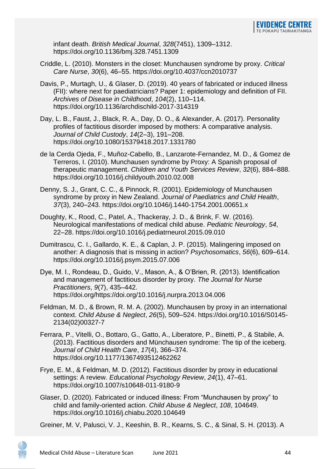infant death. *British Medical Journal*, *328*(7451), 1309–1312. https://doi.org/10.1136/bmj.328.7451.1309

- Criddle, L. (2010). Monsters in the closet: Munchausen syndrome by proxy. *Critical Care Nurse*, *30*(6), 46–55. https://doi.org/10.4037/ccn2010737
- Davis, P., Murtagh, U., & Glaser, D. (2019). 40 years of fabricated or induced illness (FII): where next for paediatricians? Paper 1: epidemiology and definition of FII. *Archives of Disease in Childhood*, *104*(2), 110–114. https://doi.org/10.1136/archdischild-2017-314319
- Day, L. B., Faust, J., Black, R. A., Day, D. O., & Alexander, A. (2017). Personality profiles of factitious disorder imposed by mothers: A comparative analysis. *Journal of Child Custody*, *14*(2–3), 191–208. https://doi.org/10.1080/15379418.2017.1331780
- de la Cerda Ojeda, F., Muñoz-Cabello, B., Lanzarote-Fernandez, M. D., & Gomez de Terreros, I. (2010). Munchausen syndrome by Proxy: A Spanish proposal of therapeutic management. *Children and Youth Services Review*, *32*(6), 884–888. https://doi.org/10.1016/j.childyouth.2010.02.008
- Denny, S. J., Grant, C. C., & Pinnock, R. (2001). Epidemiology of Munchausen syndrome by proxy in New Zealand. *Journal of Paediatrics and Child Health*, *37*(3), 240–243. https://doi.org/10.1046/j.1440-1754.2001.00651.x
- Doughty, K., Rood, C., Patel, A., Thackeray, J. D., & Brink, F. W. (2016). Neurological manifestations of medical child abuse. *Pediatric Neurology*, *54*, 22–28. https://doi.org/10.1016/j.pediatrneurol.2015.09.010
- Dumitrascu, C. I., Gallardo, K. E., & Caplan, J. P. (2015). Malingering imposed on another: A diagnosis that is missing in action? *Psychosomatics*, *56*(6), 609–614. https://doi.org/10.1016/j.psym.2015.07.006
- Dye, M. I., Rondeau, D., Guido, V., Mason, A., & O'Brien, R. (2013). Identification and management of factitious disorder by proxy. *The Journal for Nurse Practitioners*, *9*(7), 435–442. https://doi.org/https://doi.org/10.1016/j.nurpra.2013.04.006
- Feldman, M. D., & Brown, R. M. A. (2002). Munchausen by proxy in an international context. *Child Abuse & Neglect*, *26*(5), 509–524. https://doi.org/10.1016/S0145- 2134(02)00327-7
- Ferrara, P., Vitelli, O., Bottaro, G., Gatto, A., Liberatore, P., Binetti, P., & Stabile, A. (2013). Factitious disorders and Münchausen syndrome: The tip of the iceberg. *Journal of Child Health Care*, *17*(4), 366–374. https://doi.org/10.1177/1367493512462262
- Frye, E. M., & Feldman, M. D. (2012). Factitious disorder by proxy in educational settings: A review. *Educational Psychology Review*, *24*(1), 47–61. https://doi.org/10.1007/s10648-011-9180-9
- Glaser, D. (2020). Fabricated or induced illness: From "Munchausen by proxy" to child and family-oriented action. *Child Abuse & Neglect*, *108*, 104649. https://doi.org/10.1016/j.chiabu.2020.104649

Greiner, M. V, Palusci, V. J., Keeshin, B. R., Kearns, S. C., & Sinal, S. H. (2013). A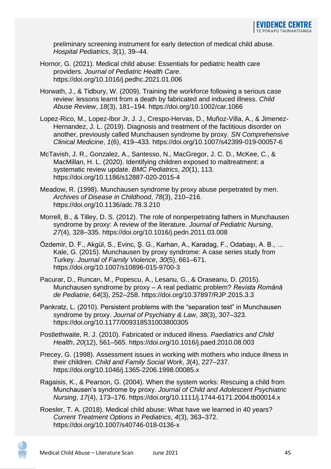preliminary screening instrument for early detection of medical child abuse. *Hospital Pediatrics*, *3*(1), 39–44.

- Hornor, G. (2021). Medical child abuse: Essentials for pediatric health care providers. *Journal of Pediatric Health Care*. https://doi.org/10.1016/j.pedhc.2021.01.006
- Horwath, J., & Tidbury, W. (2009). Training the workforce following a serious case review: lessons learnt from a death by fabricated and induced illness. *Child Abuse Review*, *18*(3), 181–194. https://doi.org/10.1002/car.1066
- Lopez-Rico, M., Lopez-Ibor Jr, J. J., Crespo-Hervas, D., Muñoz-Villa, A., & Jimenez-Hernandez, J. L. (2019). Diagnosis and treatment of the factitious disorder on another, previously called Munchausen syndrome by proxy. *SN Comprehensive Clinical Medicine*, *1*(6), 419–433. https://doi.org/10.1007/s42399-019-00057-6
- McTavish, J. R., Gonzalez, A., Santesso, N., MacGregor, J. C. D., McKee, C., & MacMillan, H. L. (2020). Identifying children exposed to maltreatment: a systematic review update. *BMC Pediatrics*, *20*(1), 113. https://doi.org/10.1186/s12887-020-2015-4
- Meadow, R. (1998). Munchausen syndrome by proxy abuse perpetrated by men. *Archives of Disease in Childhood*, *78*(3), 210–216. https://doi.org/10.1136/adc.78.3.210
- Morrell, B., & Tilley, D. S. (2012). The role of nonperpetrating fathers in Munchausen syndrome by proxy: A review of the literature. *Journal of Pediatric Nursing*, *27*(4), 328–335. https://doi.org/10.1016/j.pedn.2011.03.008
- Özdemir, D. F., Akgül, S., Evinc, Ş. G., Karhan, A., Karadag, F., Odabaşı, A. B., … Kale, G. (2015). Munchausen by proxy syndrome: A case series study from Turkey. *Journal of Family Violence*, *30*(5), 661–671. https://doi.org/10.1007/s10896-015-9700-3

Pacurar, D., Runcan, M., Popescu, A., Lesanu, G., & Oraseanu, D. (2015). Munchausen syndrome by proxy – A real pediatric problem? *Revista Română de Pediatrie*, *64*(3), 252–258. https://doi.org/10.37897/RJP.2015.3.3

Pankratz, L. (2010). Persistent problems with the "separation test" in Munchausen syndrome by proxy. *Journal of Psychiatry & Law*, *38*(3), 307–323. https://doi.org/10.1177/009318531003800305

Postlethwaite, R. J. (2010). Fabricated or induced illness. *Paediatrics and Child Health*, *20*(12), 561–565. https://doi.org/10.1016/j.paed.2010.08.003

- Precey, G. (1998). Assessment issues in working with mothers who induce illness in their children. *Child and Family Social Work*, *3*(4), 227–237. https://doi.org/10.1046/j.1365-2206.1998.00085.x
- Ragaisis, K., & Pearson, G. (2004). When the system works: Rescuing a child from Munchausen's syndrome by proxy. *Journal of Child and Adolescent Psychiatric Nursing*, *17*(4), 173–176. https://doi.org/10.1111/j.1744-6171.2004.tb00014.x
- Roesler, T. A. (2018). Medical child abuse: What have we learned in 40 years? *Current Treatment Options in Pediatrics*, *4*(3), 363–372. https://doi.org/10.1007/s40746-018-0136-x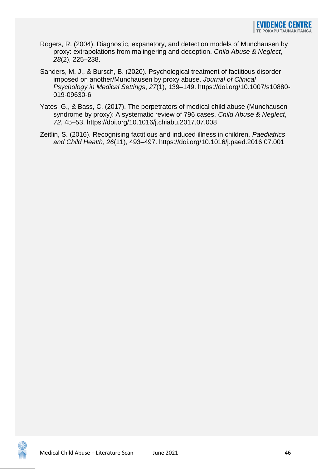- Rogers, R. (2004). Diagnostic, expanatory, and detection models of Munchausen by proxy: extrapolations from malingering and deception. *Child Abuse & Neglect*, *28*(2), 225–238.
- Sanders, M. J., & Bursch, B. (2020). Psychological treatment of factitious disorder imposed on another/Munchausen by proxy abuse. *Journal of Clinical Psychology in Medical Settings*, *27*(1), 139–149. https://doi.org/10.1007/s10880- 019-09630-6
- Yates, G., & Bass, C. (2017). The perpetrators of medical child abuse (Munchausen syndrome by proxy): A systematic review of 796 cases. *Child Abuse & Neglect*, *72*, 45–53. https://doi.org/10.1016/j.chiabu.2017.07.008
- Zeitlin, S. (2016). Recognising factitious and induced illness in children. *Paediatrics and Child Health*, *26*(11), 493–497. https://doi.org/10.1016/j.paed.2016.07.001